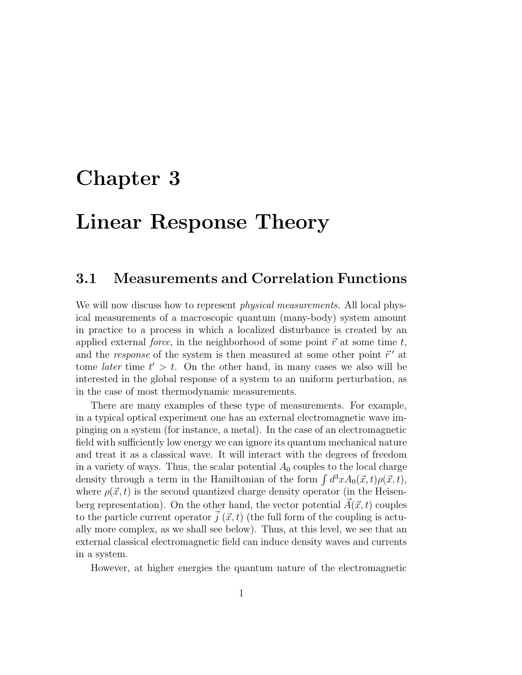# Chapter 3

# Linear Response Theory

# 3.1 Measurements and Correlation Functions

We will now discuss how to represent *physical measurements*. All local physical measurements of a macroscopic quantum (many-body) system amount in practice to a process in which a localized disturbance is created by an applied external force, in the neighborhood of some point  $\vec{r}$  at some time t, and the response of the system is then measured at some other point  $\vec{r}'$  at tome *later* time  $t' > t$ . On the other hand, in many cases we also will be interested in the global response of a system to an uniform perturbation, as in the case of most thermodynamic measurements.

There are many examples of these type of measurements. For example, in a typical optical experiment one has an external electromagnetic wave impinging on a system (for instance, a metal). In the case of an electromagnetic field with sufficiently low energy we can ignore its quantum mechanical nature and treat it as a classical wave. It will interact with the degrees of freedom in a variety of ways. Thus, the scalar potential  $A_0$  couples to the local charge density through a term in the Hamiltonian of the form  $\int d^3x A_0(\vec{x}, t) \rho(\vec{x}, t)$ , where  $\rho(\vec{x}, t)$  is the second quantized charge density operator (in the Heisenberg representation). On the other hand, the vector potential  $\vec{A}(\vec{x}, t)$  couples to the particle current operator  $\vec{j}$  ( $\vec{x}, t$ ) (the full form of the coupling is actually more complex, as we shall see below). Thus, at this level, we see that an external classical electromagnetic field can induce density waves and currents in a system.

However, at higher energies the quantum nature of the electromagnetic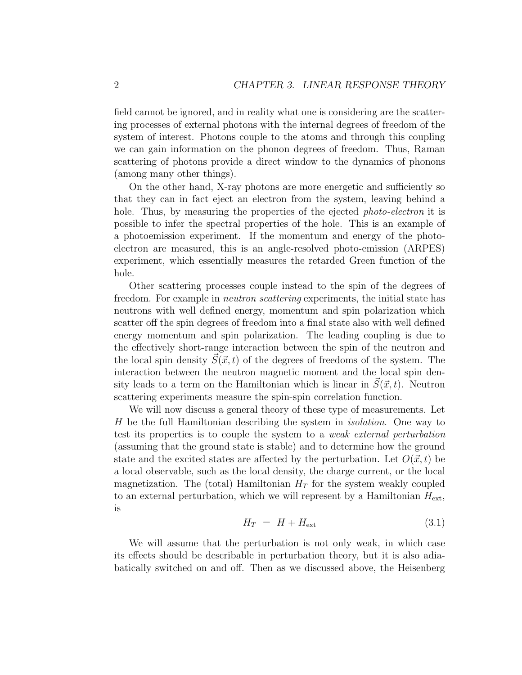field cannot be ignored, and in reality what one is considering are the scattering processes of external photons with the internal degrees of freedom of the system of interest. Photons couple to the atoms and through this coupling we can gain information on the phonon degrees of freedom. Thus, Raman scattering of photons provide a direct window to the dynamics of phonons (among many other things).

On the other hand, X-ray photons are more energetic and sufficiently so that they can in fact eject an electron from the system, leaving behind a hole. Thus, by measuring the properties of the ejected *photo-electron* it is possible to infer the spectral properties of the hole. This is an example of a photoemission experiment. If the momentum and energy of the photoelectron are measured, this is an angle-resolved photo-emission (ARPES) experiment, which essentially measures the retarded Green function of the hole.

Other scattering processes couple instead to the spin of the degrees of freedom. For example in neutron scattering experiments, the initial state has neutrons with well defined energy, momentum and spin polarization which scatter off the spin degrees of freedom into a final state also with well defined energy momentum and spin polarization. The leading coupling is due to the effectively short-range interaction between the spin of the neutron and the local spin density  $S(\vec{x}, t)$  of the degrees of freedoms of the system. The interaction between the neutron magnetic moment and the local spin density leads to a term on the Hamiltonian which is linear in  $S(\vec{x}, t)$ . Neutron scattering experiments measure the spin-spin correlation function.

We will now discuss a general theory of these type of measurements. Let H be the full Hamiltonian describing the system in isolation. One way to test its properties is to couple the system to a weak external perturbation (assuming that the ground state is stable) and to determine how the ground state and the excited states are affected by the perturbation. Let  $O(\vec{x}, t)$  be a local observable, such as the local density, the charge current, or the local magnetization. The (total) Hamiltonian  $H_T$  for the system weakly coupled to an external perturbation, which we will represent by a Hamiltonian  $H_{\text{ext}}$ , is

$$
H_T = H + H_{\text{ext}} \tag{3.1}
$$

We will assume that the perturbation is not only weak, in which case its effects should be describable in perturbation theory, but it is also adiabatically switched on and off. Then as we discussed above, the Heisenberg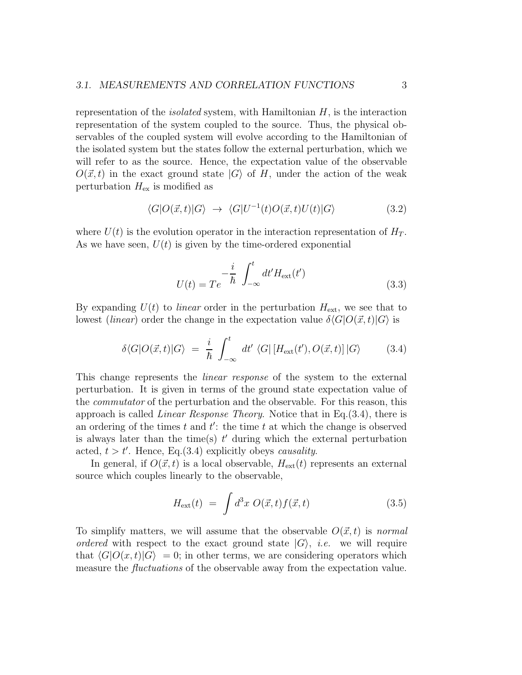representation of the *isolated* system, with Hamiltonian  $H$ , is the interaction representation of the system coupled to the source. Thus, the physical observables of the coupled system will evolve according to the Hamiltonian of the isolated system but the states follow the external perturbation, which we will refer to as the source. Hence, the expectation value of the observable  $O(\vec{x}, t)$  in the exact ground state  $|G\rangle$  of H, under the action of the weak perturbation  $H_{\text{ex}}$  is modified as

$$
\langle G|O(\vec{x},t)|G\rangle \rightarrow \langle G|U^{-1}(t)O(\vec{x},t)U(t)|G\rangle \tag{3.2}
$$

where  $U(t)$  is the evolution operator in the interaction representation of  $H_T$ . As we have seen,  $U(t)$  is given by the time-ordered exponential

$$
U(t) = Te^{-\frac{i}{\hbar} \int_{-\infty}^{t} dt' H_{\text{ext}}(t')}
$$
\n(3.3)

By expanding  $U(t)$  to *linear* order in the perturbation  $H_{\text{ext}}$ , we see that to lowest (linear) order the change in the expectation value  $\delta \langle G|O(\vec{x}, t)|G\rangle$  is

$$
\delta \langle G|O(\vec{x},t)|G\rangle = \frac{i}{\hbar} \int_{-\infty}^{t} dt' \langle G| \left[ H_{\text{ext}}(t'), O(\vec{x},t) \right] | G \rangle \tag{3.4}
$$

This change represents the linear response of the system to the external perturbation. It is given in terms of the ground state expectation value of the commutator of the perturbation and the observable. For this reason, this approach is called *Linear Response Theory*. Notice that in Eq.  $(3.4)$ , there is an ordering of the times  $t$  and  $t'$ : the time  $t$  at which the change is observed is always later than the time(s)  $t'$  during which the external perturbation acted,  $t > t'$ . Hence, Eq.(3.4) explicitly obeys *causality*.

In general, if  $O(\vec{x}, t)$  is a local observable,  $H_{ext}(t)$  represents an external source which couples linearly to the observable,

$$
H_{\text{ext}}(t) = \int d^3x \; O(\vec{x}, t) f(\vec{x}, t) \tag{3.5}
$$

To simplify matters, we will assume that the observable  $O(\vec{x}, t)$  is normal ordered with respect to the exact ground state  $|G\rangle$ , *i.e.* we will require that  $\langle G|O(x, t)|G\rangle = 0$ ; in other terms, we are considering operators which measure the *fluctuations* of the observable away from the expectation value.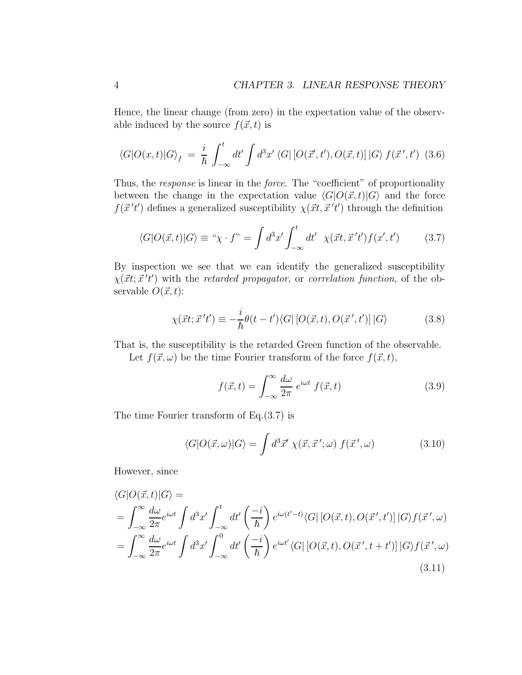Hence, the linear change (from zero) in the expectation value of the observable induced by the source  $f(\vec{x}, t)$  is

$$
\langle G|O(x,t)|G\rangle_f = \frac{i}{\hbar} \int_{-\infty}^t dt' \int d^3x' \langle G| \left[O(\vec{x}',t'),O(\vec{x},t)\right]|G\rangle f(\vec{x}',t') \tag{3.6}
$$

Thus, the *response* is linear in the *force*. The "coefficient" of proportionality between the change in the expectation value  $\langle G|O(\vec{x}, t)|G\rangle$  and the force  $f(\vec{x}'t')$  defines a generalized susceptibility  $\chi(\vec{x}t, \vec{x}'t')$  through the definition

$$
\langle G|O(\vec{x},t)|G\rangle \equiv \text{``}\chi \cdot f\text{''} = \int d^3x' \int_{-\infty}^t dt' \ \chi(\vec{x}t, \vec{x}'t') f(x', t') \tag{3.7}
$$

By inspection we see that we can identify the generalized susceptibility  $\chi(\vec{x}t; \vec{x}'t')$  with the retarded propagator, or correlation function, of the observable  $O(\vec{x}, t)$ :

$$
\chi(\vec{x}t; \vec{x}'t') \equiv -\frac{i}{\hbar} \theta(t - t') \langle G | \left[ O(\vec{x}, t), O(\vec{x}', t') \right] | G \rangle \tag{3.8}
$$

That is, the susceptibility is the retarded Green function of the observable.

Let  $f(\vec{x}, \omega)$  be the time Fourier transform of the force  $f(\vec{x}, t)$ ,

$$
f(\vec{x},t) = \int_{-\infty}^{\infty} \frac{d\omega}{2\pi} e^{i\omega t} f(\vec{x},t)
$$
 (3.9)

The time Fourier transform of Eq.(3.7) is

$$
\langle G|O(\vec{x},\omega)|G\rangle = \int d^3\vec{x}' \,\chi(\vec{x},\vec{x}\,';\omega) \, f(\vec{x}\,',\omega) \tag{3.10}
$$

However, since

$$
\langle G|O(\vec{x},t)|G\rangle =
$$
\n
$$
= \int_{-\infty}^{\infty} \frac{d\omega}{2\pi} e^{i\omega t} \int d^3x' \int_{-\infty}^{t} dt' \left(\frac{-i}{\hbar}\right) e^{i\omega(t'-t)} \langle G| \left[O(\vec{x},t), O(\vec{x}',t')\right] |G\rangle f(\vec{x}',\omega)
$$
\n
$$
= \int_{-\infty}^{\infty} \frac{d\omega}{2\pi} e^{i\omega t} \int d^3x' \int_{-\infty}^{0} dt' \left(\frac{-i}{\hbar}\right) e^{i\omega t'} \langle G| \left[O(\vec{x},t), O(\vec{x}',t+t')\right] |G\rangle f(\vec{x}',\omega)
$$
\n(3.11)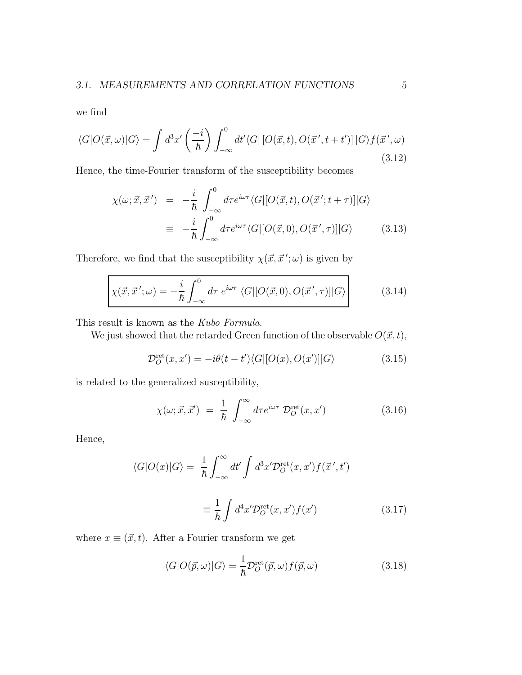we find

$$
\langle G|O(\vec{x},\omega)|G\rangle = \int d^3x' \left(\frac{-i}{\hbar}\right) \int_{-\infty}^0 dt' \langle G| \left[O(\vec{x},t), O(\vec{x}',t+t')\right] |G\rangle f(\vec{x}',\omega) \tag{3.12}
$$

Hence, the time-Fourier transform of the susceptibility becomes

$$
\chi(\omega; \vec{x}, \vec{x}') = -\frac{i}{\hbar} \int_{-\infty}^{0} d\tau e^{i\omega\tau} \langle G | [O(\vec{x}, t), O(\vec{x}'; t + \tau)] | G \rangle
$$
  

$$
\equiv -\frac{i}{\hbar} \int_{-\infty}^{0} d\tau e^{i\omega\tau} \langle G | [O(\vec{x}, 0), O(\vec{x}', \tau)] | G \rangle \qquad (3.13)
$$

Therefore, we find that the susceptibility  $\chi(\vec{x}, \vec{x}'; \omega)$  is given by

$$
\chi(\vec{x}, \vec{x}'; \omega) = -\frac{i}{\hbar} \int_{-\infty}^{0} d\tau \ e^{i\omega\tau} \langle G | [O(\vec{x}, 0), O(\vec{x}', \tau)] | G \rangle \qquad (3.14)
$$

This result is known as the Kubo Formula.

We just showed that the retarded Green function of the observable  $O(\vec{x}, t)$ ,

$$
\mathcal{D}_O^{\text{ret}}(x, x') = -i\theta(t - t') \langle G|[O(x), O(x')]|G\rangle \tag{3.15}
$$

is related to the generalized susceptibility,

$$
\chi(\omega; \vec{x}, \vec{x}') = \frac{1}{\hbar} \int_{-\infty}^{\infty} d\tau e^{i\omega\tau} \mathcal{D}_O^{\text{ret}}(x, x')
$$
(3.16)

Hence,

$$
\langle G|O(x)|G\rangle = \frac{1}{\hbar} \int_{-\infty}^{\infty} dt' \int d^3x' \mathcal{D}_O^{\text{ret}}(x, x') f(\vec{x}', t')
$$

$$
\equiv \frac{1}{\hbar} \int d^4x' \mathcal{D}_O^{\text{ret}}(x, x') f(x')
$$
(3.17)

where  $x \equiv (\vec{x}, t)$ . After a Fourier transform we get

$$
\langle G|O(\vec{p},\omega)|G\rangle = \frac{1}{\hbar} \mathcal{D}_O^{\text{ret}}(\vec{p},\omega) f(\vec{p},\omega)
$$
\n(3.18)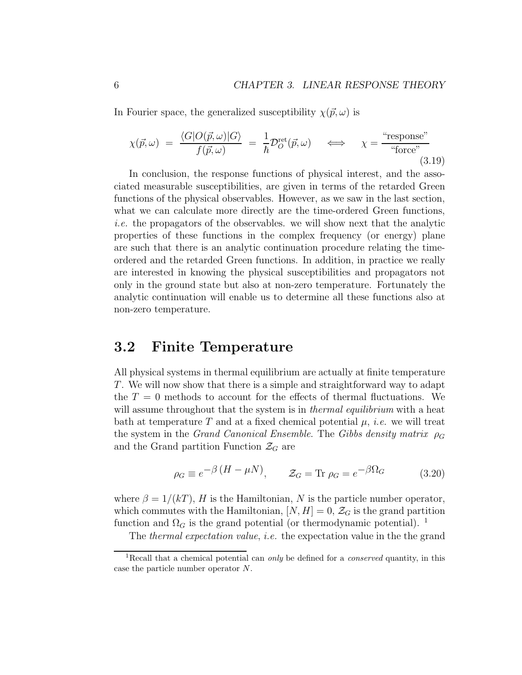In Fourier space, the generalized susceptibility  $\chi(\vec{p}, \omega)$  is

$$
\chi(\vec{p}, \omega) = \frac{\langle G|O(\vec{p}, \omega)|G\rangle}{f(\vec{p}, \omega)} = \frac{1}{\hbar} \mathcal{D}_O^{\text{ret}}(\vec{p}, \omega) \iff \chi = \frac{\text{``response''}}{\text{``force''}} \tag{3.19}
$$

In conclusion, the response functions of physical interest, and the associated measurable susceptibilities, are given in terms of the retarded Green functions of the physical observables. However, as we saw in the last section, what we can calculate more directly are the time-ordered Green functions, i.e. the propagators of the observables. we will show next that the analytic properties of these functions in the complex frequency (or energy) plane are such that there is an analytic continuation procedure relating the timeordered and the retarded Green functions. In addition, in practice we really are interested in knowing the physical susceptibilities and propagators not only in the ground state but also at non-zero temperature. Fortunately the analytic continuation will enable us to determine all these functions also at non-zero temperature.

## 3.2 Finite Temperature

All physical systems in thermal equilibrium are actually at finite temperature T. We will now show that there is a simple and straightforward way to adapt the  $T = 0$  methods to account for the effects of thermal fluctuations. We will assume throughout that the system is in *thermal equilibrium* with a heat bath at temperature T and at a fixed chemical potential  $\mu$ , *i.e.* we will treat the system in the Grand Canonical Ensemble. The Gibbs density matrix  $\rho_G$ and the Grand partition Function  $\mathcal{Z}_G$  are

$$
\rho_G \equiv e^{-\beta \left(H - \mu N\right)}, \qquad \mathcal{Z}_G = \text{Tr } \rho_G = e^{-\beta \Omega_G} \tag{3.20}
$$

where  $\beta = 1/(kT)$ , H is the Hamiltonian, N is the particle number operator, which commutes with the Hamiltonian,  $[N, H] = 0$ ,  $\mathcal{Z}_G$  is the grand partition function and  $\Omega_G$  is the grand potential (or thermodynamic potential). <sup>1</sup>

The thermal expectation value, i.e. the expectation value in the the grand

<sup>&</sup>lt;sup>1</sup>Recall that a chemical potential can *only* be defined for a *conserved* quantity, in this case the particle number operator N.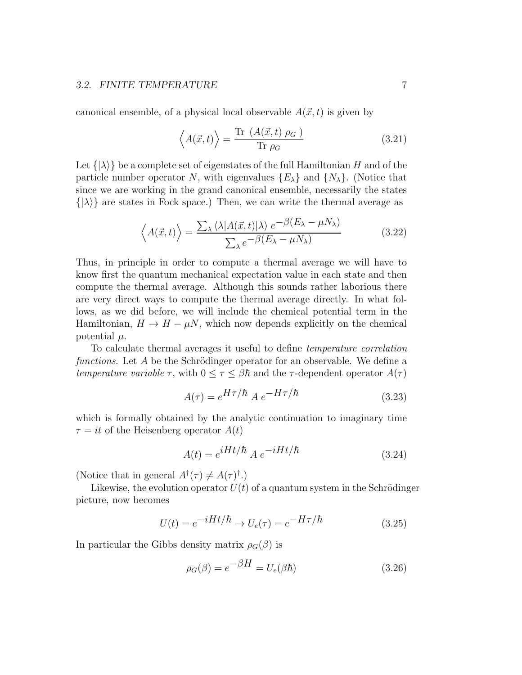#### 3.2. FINITE TEMPERATURE 7

canonical ensemble, of a physical local observable  $A(\vec{x}, t)$  is given by

$$
\left\langle A(\vec{x},t)\right\rangle = \frac{\text{Tr}\,\left(A(\vec{x},t)\,\rho_G\,\right)}{\text{Tr}\,\rho_G} \tag{3.21}
$$

Let  $\{\lambda\}$  be a complete set of eigenstates of the full Hamiltonian H and of the particle number operator N, with eigenvalues  $\{E_{\lambda}\}\$  and  $\{N_{\lambda}\}\$ . (Notice that since we are working in the grand canonical ensemble, necessarily the states  $\{|\lambda\rangle\}$  are states in Fock space.) Then, we can write the thermal average as

$$
\left\langle A(\vec{x},t)\right\rangle = \frac{\sum_{\lambda} \left\langle \lambda |A(\vec{x},t)|\lambda \right\rangle e^{-\beta(E_{\lambda} - \mu N_{\lambda})}}{\sum_{\lambda} e^{-\beta(E_{\lambda} - \mu N_{\lambda})}}\tag{3.22}
$$

Thus, in principle in order to compute a thermal average we will have to know first the quantum mechanical expectation value in each state and then compute the thermal average. Although this sounds rather laborious there are very direct ways to compute the thermal average directly. In what follows, as we did before, we will include the chemical potential term in the Hamiltonian,  $H \to H - \mu N$ , which now depends explicitly on the chemical potential  $\mu$ .

To calculate thermal averages it useful to define temperature correlation functions. Let  $A$  be the Schrödinger operator for an observable. We define a temperature variable  $\tau$ , with  $0 \leq \tau \leq \beta \hbar$  and the  $\tau$ -dependent operator  $A(\tau)$ 

$$
A(\tau) = e^{H\tau/\hbar} A e^{-H\tau/\hbar}
$$
 (3.23)

which is formally obtained by the analytic continuation to imaginary time  $\tau = it$  of the Heisenberg operator  $A(t)$ 

$$
A(t) = e^{iHt/\hbar} A e^{-iHt/\hbar}
$$
 (3.24)

(Notice that in general  $A^{\dagger}(\tau) \neq A(\tau)^{\dagger}$ .)

Likewise, the evolution operator  $U(t)$  of a quantum system in the Schrödinger picture, now becomes

$$
U(t) = e^{-iHt/\hbar} \to U_e(\tau) = e^{-H\tau/\hbar}
$$
\n(3.25)

In particular the Gibbs density matrix  $\rho_G(\beta)$  is

$$
\rho_G(\beta) = e^{-\beta H} = U_e(\beta \hbar) \tag{3.26}
$$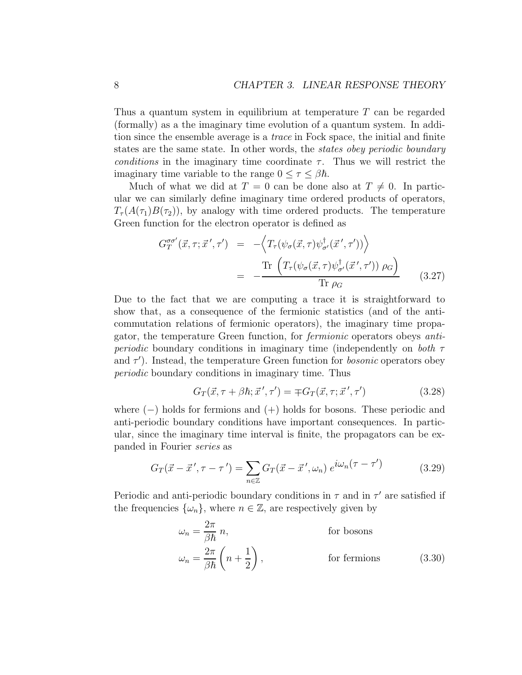Thus a quantum system in equilibrium at temperature T can be regarded (formally) as a the imaginary time evolution of a quantum system. In addition since the ensemble average is a trace in Fock space, the initial and finite states are the same state. In other words, the states obey periodic boundary conditions in the imaginary time coordinate  $\tau$ . Thus we will restrict the imaginary time variable to the range  $0 \leq \tau \leq \beta \hbar$ .

Much of what we did at  $T = 0$  can be done also at  $T \neq 0$ . In particular we can similarly define imaginary time ordered products of operators,  $T_{\tau}(A(\tau_1)B(\tau_2))$ , by analogy with time ordered products. The temperature Green function for the electron operator is defined as

$$
G_T^{\sigma\sigma'}(\vec{x},\tau;\vec{x}',\tau') = -\left\langle T_\tau(\psi_\sigma(\vec{x},\tau)\psi_{\sigma'}^\dagger(\vec{x}',\tau'))\right\rangle
$$
  
= 
$$
-\frac{\text{Tr}\left(T_\tau(\psi_\sigma(\vec{x},\tau)\psi_{\sigma'}^\dagger(\vec{x}',\tau'))\rho_G\right)}{\text{Tr}\rho_G}
$$
(3.27)

Due to the fact that we are computing a trace it is straightforward to show that, as a consequence of the fermionic statistics (and of the anticommutation relations of fermionic operators), the imaginary time propagator, the temperature Green function, for fermionic operators obeys anti*periodic* boundary conditions in imaginary time (independently on *both*  $\tau$ and  $\tau'$ ). Instead, the temperature Green function for *bosonic* operators obey periodic boundary conditions in imaginary time. Thus

$$
G_T(\vec{x}, \tau + \beta \hbar; \vec{x}', \tau') = \mp G_T(\vec{x}, \tau; \vec{x}', \tau')
$$
\n(3.28)

where  $(-)$  holds for fermions and  $(+)$  holds for bosons. These periodic and anti-periodic boundary conditions have important consequences. In particular, since the imaginary time interval is finite, the propagators can be expanded in Fourier series as

$$
G_T(\vec{x} - \vec{x}', \tau - \tau') = \sum_{n \in \mathbb{Z}} G_T(\vec{x} - \vec{x}', \omega_n) e^{i\omega_n(\tau - \tau')} \tag{3.29}
$$

Periodic and anti-periodic boundary conditions in  $\tau$  and in  $\tau'$  are satisfied if the frequencies  $\{\omega_n\}$ , where  $n \in \mathbb{Z}$ , are respectively given by

$$
\omega_n = \frac{2\pi}{\beta \hbar} n,
$$
 for bosons  

$$
\omega_n = \frac{2\pi}{\beta \hbar} \left( n + \frac{1}{2} \right),
$$
 for fermions (3.30)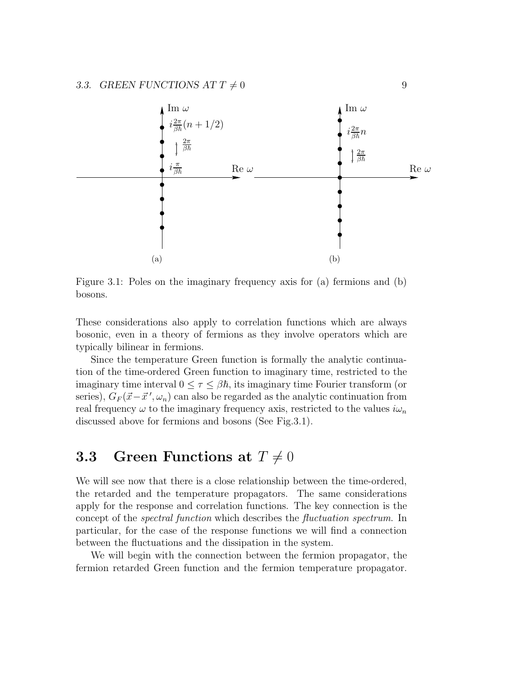

Figure 3.1: Poles on the imaginary frequency axis for (a) fermions and (b) bosons.

These considerations also apply to correlation functions which are always bosonic, even in a theory of fermions as they involve operators which are typically bilinear in fermions.

Since the temperature Green function is formally the analytic continuation of the time-ordered Green function to imaginary time, restricted to the imaginary time interval  $0 \leq \tau \leq \beta \hbar$ , its imaginary time Fourier transform (or series),  $G_F(\vec{x}-\vec{x}',\omega_n)$  can also be regarded as the analytic continuation from real frequency  $\omega$  to the imaginary frequency axis, restricted to the values  $i\omega_n$ discussed above for fermions and bosons (See Fig.3.1).

# **3.3** Green Functions at  $T \neq 0$

We will see now that there is a close relationship between the time-ordered, the retarded and the temperature propagators. The same considerations apply for the response and correlation functions. The key connection is the concept of the spectral function which describes the fluctuation spectrum. In particular, for the case of the response functions we will find a connection between the fluctuations and the dissipation in the system.

We will begin with the connection between the fermion propagator, the fermion retarded Green function and the fermion temperature propagator.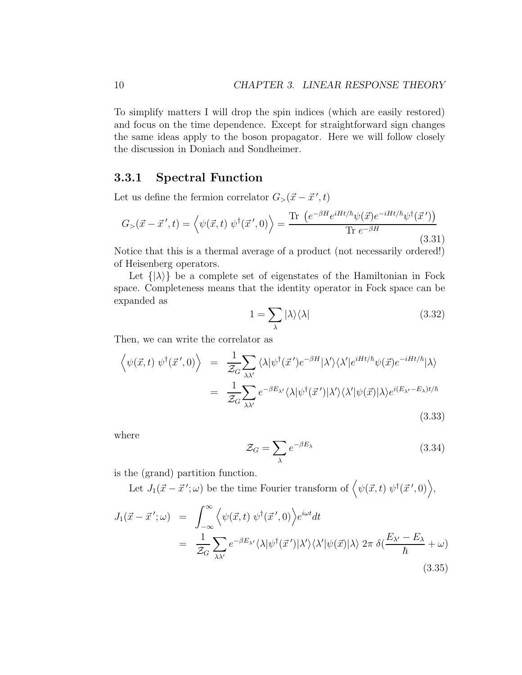To simplify matters I will drop the spin indices (which are easily restored) and focus on the time dependence. Except for straightforward sign changes the same ideas apply to the boson propagator. Here we will follow closely the discussion in Doniach and Sondheimer.

#### 3.3.1 Spectral Function

Let us define the fermion correlator  $G_{>}(\vec{x} - \vec{x}', t)$ 

$$
G_{>}(\vec{x} - \vec{x}',t) = \left\langle \psi(\vec{x},t) \; \psi^{\dagger}(\vec{x}',0) \right\rangle = \frac{\text{Tr} \left( e^{-\beta H} e^{iHt/\hbar} \psi(\vec{x}) e^{-iHt/\hbar} \psi^{\dagger}(\vec{x}') \right)}{\text{Tr} \; e^{-\beta H}}
$$
\n(3.31)

Notice that this is a thermal average of a product (not necessarily ordered!) of Heisenberg operators.

Let  $\{\vert \lambda \rangle\}$  be a complete set of eigenstates of the Hamiltonian in Fock space. Completeness means that the identity operator in Fock space can be expanded as

$$
1 = \sum_{\lambda} |\lambda\rangle\langle\lambda| \tag{3.32}
$$

Then, we can write the correlator as

$$
\langle \psi(\vec{x},t) \psi^{\dagger}(\vec{x}',0) \rangle = \frac{1}{\mathcal{Z}_G} \sum_{\lambda \lambda'} \langle \lambda | \psi^{\dagger}(\vec{x}') e^{-\beta H} | \lambda' \rangle \langle \lambda' | e^{iHt/\hbar} \psi(\vec{x}) e^{-iHt/\hbar} | \lambda \rangle
$$
  

$$
= \frac{1}{\mathcal{Z}_G} \sum_{\lambda \lambda'} e^{-\beta E_{\lambda'}} \langle \lambda | \psi^{\dagger}(\vec{x}') | \lambda' \rangle \langle \lambda' | \psi(\vec{x}) | \lambda \rangle e^{i(E_{\lambda'} - E_{\lambda})t/\hbar}
$$
(3.33)

where

$$
\mathcal{Z}_G = \sum_{\lambda} e^{-\beta E_{\lambda}} \tag{3.34}
$$

is the (grand) partition function.

Let  $J_1(\vec{x} - \vec{x}'; \omega)$  be the time Fourier transform of  $\langle \psi(\vec{x}, t) | \psi^\dagger(\vec{x}', 0) \rangle$ ,

$$
J_1(\vec{x} - \vec{x}'; \omega) = \int_{-\infty}^{\infty} \left\langle \psi(\vec{x}, t) \psi^{\dagger}(\vec{x}', 0) \right\rangle e^{i\omega t} dt
$$
  

$$
= \frac{1}{\mathcal{Z}_G} \sum_{\lambda \lambda'} e^{-\beta E_{\lambda'}} \langle \lambda | \psi^{\dagger}(\vec{x}') | \lambda' \rangle \langle \lambda' | \psi(\vec{x}) | \lambda \rangle 2\pi \delta(\frac{E_{\lambda'} - E_{\lambda}}{\hbar} + \omega)
$$
(3.35)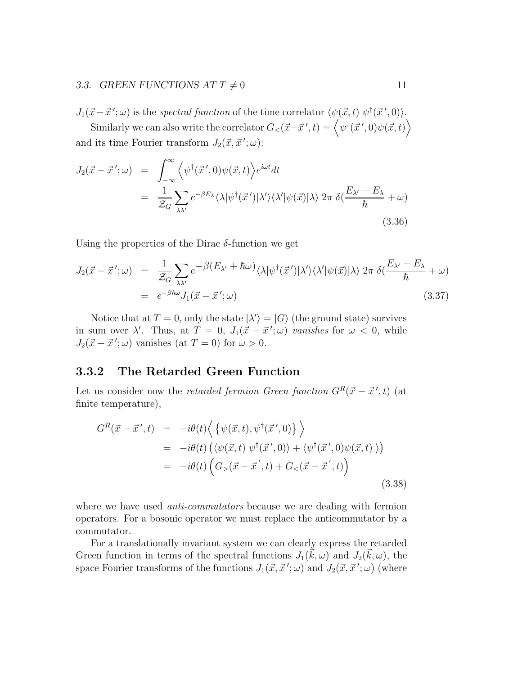#### 3.3. GREEN FUNCTIONS AT  $T \neq 0$  11

 $J_1(\vec{x}-\vec{x}';\omega)$  is the spectral function of the time correlator  $\langle \psi(\vec{x},t) \psi^\dagger(\vec{x}',0) \rangle$ .

Similarly we can also write the correlator  $G_<(\vec{x}-\vec{x}{\,}',t) = \left< \psi^\dagger(\vec{x}{\,}',0) \psi(\vec{x},t) \right>$ and its time Fourier transform  $J_2(\vec{x}, \vec{x}'; \omega)$ :

$$
J_2(\vec{x} - \vec{x}'; \omega) = \int_{-\infty}^{\infty} \left\langle \psi^{\dagger}(\vec{x}', 0) \psi(\vec{x}, t) \right\rangle e^{i\omega t} dt
$$
  

$$
= \frac{1}{\mathcal{Z}_G} \sum_{\lambda \lambda'} e^{-\beta E_{\lambda}} \langle \lambda | \psi^{\dagger}(\vec{x}') | \lambda' \rangle \langle \lambda' | \psi(\vec{x}) | \lambda \rangle 2\pi \delta(\frac{E_{\lambda'} - E_{\lambda}}{\hbar} + \omega)
$$
(3.36)

Using the properties of the Dirac  $\delta$ -function we get

$$
J_2(\vec{x} - \vec{x}'; \omega) = \frac{1}{\mathcal{Z}_G} \sum_{\lambda \lambda'} e^{-\beta (E_{\lambda'} + \hbar \omega)} \langle \lambda | \psi^{\dagger}(\vec{x}') | \lambda' \rangle \langle \lambda' | \psi(\vec{x}) | \lambda \rangle 2\pi \delta(\frac{E_{\lambda'} - E_{\lambda}}{\hbar} + \omega)
$$
  
=  $e^{-\beta \hbar \omega} J_1(\vec{x} - \vec{x}'; \omega)$  (3.37)

Notice that at  $T = 0$ , only the state  $|\lambda'\rangle = |G\rangle$  (the ground state) survives in sum over  $\lambda'$ . Thus, at  $T = 0$ ,  $J_1(\vec{x} - \vec{x}'; \omega)$  vanishes for  $\omega < 0$ , while  $J_2(\vec{x} - \vec{x}'; \omega)$  vanishes (at  $T = 0$ ) for  $\omega > 0$ .

### 3.3.2 The Retarded Green Function

Let us consider now the *retarded fermion Green function*  $G^R(\vec{x} - \vec{x}', t)$  (at finite temperature),

$$
G^{R}(\vec{x} - \vec{x}',t) = -i\theta(t)\Big\{\big\{\psi(\vec{x},t),\psi^{\dagger}(\vec{x}',0)\big\}\Big\}= -i\theta(t)\big(\langle\psi(\vec{x},t),\psi^{\dagger}(\vec{x}',0)\rangle + \langle\psi^{\dagger}(\vec{x}',0)\psi(\vec{x},t)\rangle\big)= -i\theta(t)\big(G_{>}(\vec{x} - \vec{x}',t) + G_{<}(\vec{x} - \vec{x}',t)\big)
$$
(3.38)

where we have used *anti-commutators* because we are dealing with fermion operators. For a bosonic operator we must replace the anticommutator by a commutator.

For a translationally invariant system we can clearly express the retarded Green function in terms of the spectral functions  $J_1(\vec{k}, \omega)$  and  $J_2(\vec{k}, \omega)$ , the space Fourier transforms of the functions  $J_1(\vec{x}, \vec{x}'; \omega)$  and  $J_2(\vec{x}, \vec{x}'; \omega)$  (where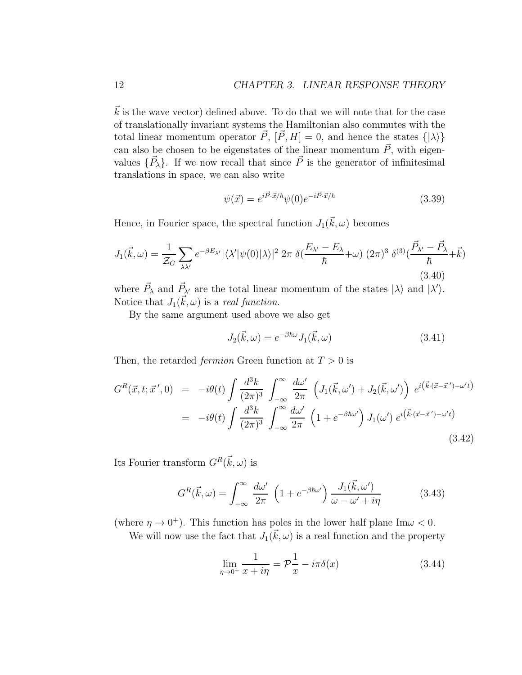#### 12 CHAPTER 3. LINEAR RESPONSE THEORY

 $k$  is the wave vector) defined above. To do that we will note that for the case of translationally invariant systems the Hamiltonian also commutes with the total linear momentum operator  $\vec{P}$ ,  $[\vec{P}, H] = 0$ , and hence the states  $\{|\lambda\rangle\}$ can also be chosen to be eigenstates of the linear momentum  $\vec{P}$ , with eigenvalues  $\{\vec{P}_{\lambda}\}\$ . If we now recall that since  $\vec{P}$  is the generator of infinitesimal translations in space, we can also write

$$
\psi(\vec{x}) = e^{i\vec{P}\cdot\vec{x}/\hbar}\psi(0)e^{-i\vec{P}\cdot\vec{x}/\hbar}
$$
\n(3.39)

Hence, in Fourier space, the spectral function  $J_1(\vec{k}, \omega)$  becomes

$$
J_1(\vec{k},\omega) = \frac{1}{\mathcal{Z}_G} \sum_{\lambda\lambda'} e^{-\beta E_{\lambda'}} |\langle \lambda' | \psi(0) | \lambda \rangle|^2 2\pi \delta(\frac{E_{\lambda'} - E_{\lambda}}{\hbar} + \omega) (2\pi)^3 \delta^{(3)}(\frac{\vec{P}_{\lambda'} - \vec{P}_{\lambda}}{\hbar} + \vec{k})
$$
\n(3.40)

where  $\vec{P}_{\lambda}$  and  $\vec{P}_{\lambda'}$  are the total linear momentum of the states  $|\lambda\rangle$  and  $|\lambda'\rangle$ . Notice that  $J_1(\vec{k}, \omega)$  is a real function.

By the same argument used above we also get

$$
J_2(\vec{k}, \omega) = e^{-\beta \hbar \omega} J_1(\vec{k}, \omega) \tag{3.41}
$$

Then, the retarded *fermion* Green function at  $T > 0$  is

$$
G^{R}(\vec{x},t;\vec{x}',0) = -i\theta(t)\int \frac{d^{3}k}{(2\pi)^{3}} \int_{-\infty}^{\infty} \frac{d\omega'}{2\pi} \left(J_{1}(\vec{k},\omega') + J_{2}(\vec{k},\omega')\right) e^{i(\vec{k}\cdot(\vec{x}-\vec{x}')-\omega't)} = -i\theta(t)\int \frac{d^{3}k}{(2\pi)^{3}} \int_{-\infty}^{\infty} \frac{d\omega'}{2\pi} \left(1 + e^{-\beta\hbar\omega'}\right)J_{1}(\omega') e^{i(\vec{k}\cdot(\vec{x}-\vec{x}')-\omega't)} \tag{3.42}
$$

Its Fourier transform  $G^R(\vec{k}, \omega)$  is

$$
G^{R}(\vec{k},\omega) = \int_{-\infty}^{\infty} \frac{d\omega'}{2\pi} \left(1 + e^{-\beta\hbar\omega'}\right) \frac{J_{1}(\vec{k},\omega')}{\omega - \omega' + i\eta}
$$
(3.43)

(where  $\eta \to 0^+$ ). This function has poles in the lower half plane Im $\omega < 0$ .

We will now use the fact that  $J_1(\vec{k}, \omega)$  is a real function and the property

$$
\lim_{\eta \to 0^+} \frac{1}{x + i\eta} = \mathcal{P}\frac{1}{x} - i\pi \delta(x) \tag{3.44}
$$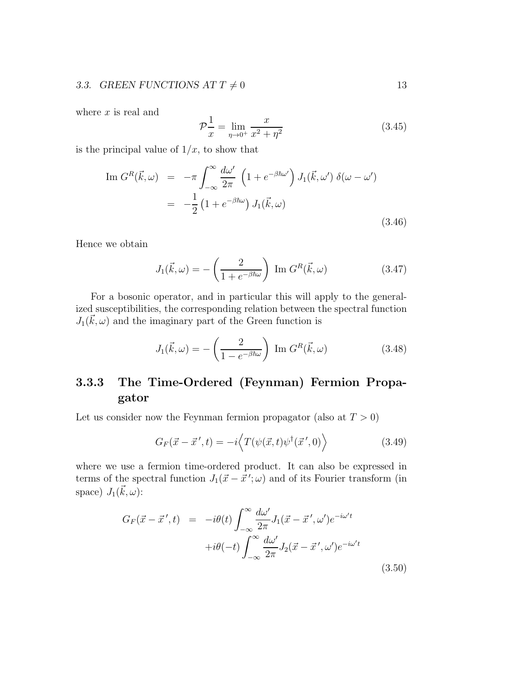### 3.3. GREEN FUNCTIONS AT  $T \neq 0$  13

where  $x$  is real and

$$
\mathcal{P}\frac{1}{x} = \lim_{\eta \to 0^+} \frac{x}{x^2 + \eta^2}
$$
\n(3.45)

is the principal value of  $1/x$ , to show that

$$
\text{Im } G^{R}(\vec{k}, \omega) = -\pi \int_{-\infty}^{\infty} \frac{d\omega'}{2\pi} \left( 1 + e^{-\beta \hbar \omega'} \right) J_{1}(\vec{k}, \omega') \, \delta(\omega - \omega')
$$
\n
$$
= -\frac{1}{2} \left( 1 + e^{-\beta \hbar \omega} \right) J_{1}(\vec{k}, \omega) \tag{3.46}
$$

Hence we obtain

$$
J_1(\vec{k}, \omega) = -\left(\frac{2}{1 + e^{-\beta \hbar \omega}}\right) \operatorname{Im} G^R(\vec{k}, \omega) \tag{3.47}
$$

For a bosonic operator, and in particular this will apply to the generalized susceptibilities, the corresponding relation between the spectral function  $J_1(\vec{k}, \omega)$  and the imaginary part of the Green function is

$$
J_1(\vec{k}, \omega) = -\left(\frac{2}{1 - e^{-\beta \hbar \omega}}\right) \operatorname{Im} G^R(\vec{k}, \omega) \tag{3.48}
$$

## 3.3.3 The Time-Ordered (Feynman) Fermion Propagator

Let us consider now the Feynman fermion propagator (also at  $T > 0$ )

$$
G_F(\vec{x} - \vec{x}', t) = -i \langle T(\psi(\vec{x}, t)\psi^\dagger(\vec{x}', 0) \rangle \tag{3.49}
$$

where we use a fermion time-ordered product. It can also be expressed in terms of the spectral function  $J_1(\vec{x} - \vec{x}'; \omega)$  and of its Fourier transform (in space)  $J_1(\vec{k}, \omega)$ :

$$
G_F(\vec{x} - \vec{x}', t) = -i\theta(t) \int_{-\infty}^{\infty} \frac{d\omega'}{2\pi} J_1(\vec{x} - \vec{x}', \omega') e^{-i\omega' t}
$$

$$
+i\theta(-t) \int_{-\infty}^{\infty} \frac{d\omega'}{2\pi} J_2(\vec{x} - \vec{x}', \omega') e^{-i\omega' t}
$$
(3.50)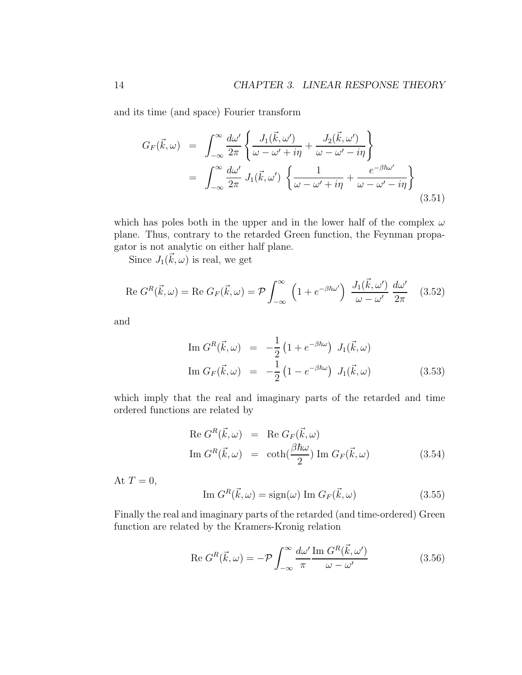and its time (and space) Fourier transform

$$
G_F(\vec{k},\omega) = \int_{-\infty}^{\infty} \frac{d\omega'}{2\pi} \left\{ \frac{J_1(\vec{k},\omega')}{\omega - \omega' + i\eta} + \frac{J_2(\vec{k},\omega')}{\omega - \omega' - i\eta} \right\}
$$
  

$$
= \int_{-\infty}^{\infty} \frac{d\omega'}{2\pi} J_1(\vec{k},\omega') \left\{ \frac{1}{\omega - \omega' + i\eta} + \frac{e^{-\beta\hbar\omega'}}{\omega - \omega' - i\eta} \right\}
$$
(3.51)

which has poles both in the upper and in the lower half of the complex  $\omega$ plane. Thus, contrary to the retarded Green function, the Feynman propagator is not analytic on either half plane.

Since  $J_1(\vec{k}, \omega)$  is real, we get

$$
\operatorname{Re} G^{R}(\vec{k}, \omega) = \operatorname{Re} G_{F}(\vec{k}, \omega) = \mathcal{P} \int_{-\infty}^{\infty} \left( 1 + e^{-\beta \hbar \omega'} \right) \frac{J_{1}(\vec{k}, \omega')}{\omega - \omega'} \frac{d\omega'}{2\pi}
$$
 (3.52)

and

$$
\text{Im } G^R(\vec{k}, \omega) = -\frac{1}{2} \left( 1 + e^{-\beta \hbar \omega} \right) J_1(\vec{k}, \omega)
$$
\n
$$
\text{Im } G_F(\vec{k}, \omega) = -\frac{1}{2} \left( 1 - e^{-\beta \hbar \omega} \right) J_1(\vec{k}, \omega) \tag{3.53}
$$

which imply that the real and imaginary parts of the retarded and time ordered functions are related by

$$
\operatorname{Re} G^{R}(\vec{k}, \omega) = \operatorname{Re} G_{F}(\vec{k}, \omega)
$$
  
\n
$$
\operatorname{Im} G^{R}(\vec{k}, \omega) = \coth(\frac{\beta \hbar \omega}{2}) \operatorname{Im} G_{F}(\vec{k}, \omega)
$$
\n(3.54)

At  $T=0$ ,

$$
\text{Im } G^R(\vec{k}, \omega) = \text{sign}(\omega) \text{ Im } G_F(\vec{k}, \omega) \tag{3.55}
$$

Finally the real and imaginary parts of the retarded (and time-ordered) Green function are related by the Kramers-Kronig relation

$$
\operatorname{Re} G^{R}(\vec{k}, \omega) = -\mathcal{P} \int_{-\infty}^{\infty} \frac{d\omega'}{\pi} \frac{\operatorname{Im} G^{R}(\vec{k}, \omega')}{\omega - \omega'} \tag{3.56}
$$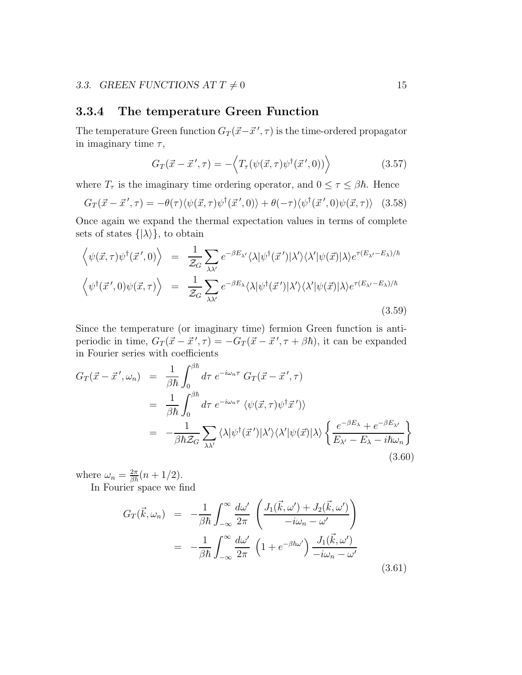#### 3.3.4 The temperature Green Function

The temperature Green function  $G_T(\vec{x}-\vec{x}{\,}\,',\tau)$  is the time-ordered propagator in imaginary time  $\tau$ ,

$$
G_T(\vec{x} - \vec{x}', \tau) = -\langle T_\tau(\psi(\vec{x}, \tau)\psi^\dagger(\vec{x}', 0)) \rangle \tag{3.57}
$$

where  $T_{\tau}$  is the imaginary time ordering operator, and  $0 \leq \tau \leq \beta \hbar$ . Hence

$$
G_T(\vec{x} - \vec{x}', \tau) = -\theta(\tau) \langle \psi(\vec{x}, \tau) \psi^\dagger(\vec{x}', 0) \rangle + \theta(-\tau) \langle \psi^\dagger(\vec{x}', 0) \psi(\vec{x}, \tau) \rangle \tag{3.58}
$$

Once again we expand the thermal expectation values in terms of complete sets of states  $\{|\lambda\rangle\}$ , to obtain

$$
\langle \psi(\vec{x}, \tau) \psi^{\dagger}(\vec{x}', 0) \rangle = \frac{1}{\mathcal{Z}_G} \sum_{\lambda \lambda'} e^{-\beta E_{\lambda'}} \langle \lambda | \psi^{\dagger}(\vec{x}') | \lambda' \rangle \langle \lambda' | \psi(\vec{x}) | \lambda \rangle e^{\tau (E_{\lambda'} - E_{\lambda})/\hbar}
$$

$$
\langle \psi^{\dagger}(\vec{x}', 0) \psi(\vec{x}, \tau) \rangle = \frac{1}{\mathcal{Z}_G} \sum_{\lambda \lambda'} e^{-\beta E_{\lambda}} \langle \lambda | \psi^{\dagger}(\vec{x}') | \lambda' \rangle \langle \lambda' | \psi(\vec{x}) | \lambda \rangle e^{\tau (E_{\lambda'} - E_{\lambda})/\hbar}
$$
(3.59)

Since the temperature (or imaginary time) fermion Green function is antiperiodic in time,  $G_T(\vec{x} - \vec{x}', \tau) = -G_T(\vec{x} - \vec{x}', \tau + \beta \hbar)$ , it can be expanded in Fourier series with coefficients

$$
G_{T}(\vec{x} - \vec{x}', \omega_{n}) = \frac{1}{\beta \hbar} \int_{0}^{\beta \hbar} d\tau \ e^{-i\omega_{n}\tau} \ G_{T}(\vec{x} - \vec{x}', \tau)
$$
  
\n
$$
= \frac{1}{\beta \hbar} \int_{0}^{\beta \hbar} d\tau \ e^{-i\omega_{n}\tau} \ \langle \psi(\vec{x}, \tau) \psi^{\dagger} \vec{x}' \rangle \rangle
$$
  
\n
$$
= -\frac{1}{\beta \hbar \mathcal{Z}_{G}} \sum_{\lambda \lambda'} \langle \lambda | \psi^{\dagger}(\vec{x}') | \lambda' \rangle \langle \lambda' | \psi(\vec{x}) | \lambda \rangle \left\{ \frac{e^{-\beta E_{\lambda}} + e^{-\beta E_{\lambda'}}}{E_{\lambda'} - E_{\lambda} - i\hbar \omega_{n}} \right\}
$$
(3.60)

where  $\omega_n = \frac{2\pi}{\beta \hbar} (n + 1/2)$ .

In Fourier space we find

$$
G_T(\vec{k}, \omega_n) = -\frac{1}{\beta \hbar} \int_{-\infty}^{\infty} \frac{d\omega'}{2\pi} \left( \frac{J_1(\vec{k}, \omega') + J_2(\vec{k}, \omega')}{-i\omega_n - \omega'} \right)
$$
  

$$
= -\frac{1}{\beta \hbar} \int_{-\infty}^{\infty} \frac{d\omega'}{2\pi} \left( 1 + e^{-\beta \hbar \omega'} \right) \frac{J_1(\vec{k}, \omega')}{-i\omega_n - \omega'}
$$
(3.61)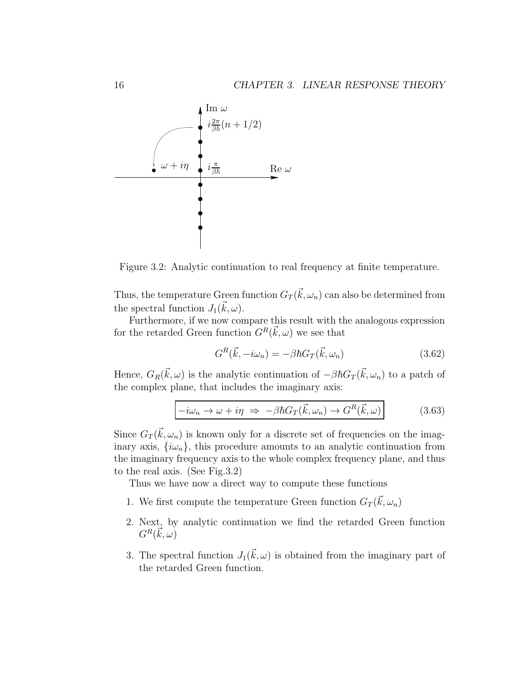

Figure 3.2: Analytic continuation to real frequency at finite temperature.

Thus, the temperature Green function  $G_T(\vec{k}, \omega_n)$  can also be determined from the spectral function  $J_1(\vec{k}, \omega)$ .

Furthermore, if we now compare this result with the analogous expression for the retarded Green function  $G^R(\vec{k}, \omega)$  we see that

$$
G^{R}(\vec{k}, -i\omega_{n}) = -\beta \hbar G_{T}(\vec{k}, \omega_{n})
$$
\n(3.62)

Hence,  $G_R(\vec{k}, \omega)$  is the analytic continuation of  $-\beta \hbar G_T(\vec{k}, \omega_n)$  to a patch of the complex plane, that includes the imaginary axis:

$$
-i\omega_n \to \omega + i\eta \Rightarrow -\beta \hbar G_T(\vec{k}, \omega_n) \to G^R(\vec{k}, \omega)
$$
 (3.63)

Since  $G_T(\vec{k}, \omega_n)$  is known only for a discrete set of frequencies on the imaginary axis,  $\{\omega_n\}$ , this procedure amounts to an analytic continuation from the imaginary frequency axis to the whole complex frequency plane, and thus to the real axis. (See Fig.3.2)

Thus we have now a direct way to compute these functions

- 1. We first compute the temperature Green function  $G_T(\vec{k}, \omega_n)$
- 2. Next, by analytic continuation we find the retarded Green function  $G^R(\vec{k},\omega)$
- 3. The spectral function  $J_1(\vec{k}, \omega)$  is obtained from the imaginary part of the retarded Green function.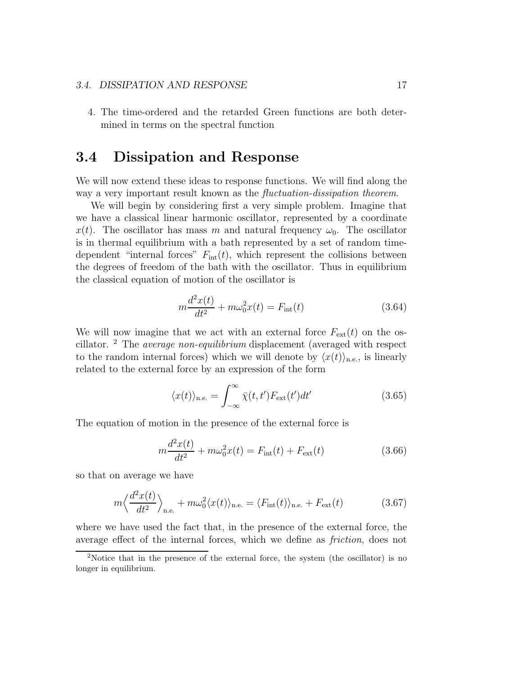#### 3.4. DISSIPATION AND RESPONSE 17

4. The time-ordered and the retarded Green functions are both determined in terms on the spectral function

# 3.4 Dissipation and Response

We will now extend these ideas to response functions. We will find along the way a very important result known as the fluctuation-dissipation theorem.

We will begin by considering first a very simple problem. Imagine that we have a classical linear harmonic oscillator, represented by a coordinate  $x(t)$ . The oscillator has mass m and natural frequency  $\omega_0$ . The oscillator is in thermal equilibrium with a bath represented by a set of random timedependent "internal forces"  $F_{\text{int}}(t)$ , which represent the collisions between the degrees of freedom of the bath with the oscillator. Thus in equilibrium the classical equation of motion of the oscillator is

$$
m\frac{d^2x(t)}{dt^2} + m\omega_0^2 x(t) = F_{\text{int}}(t)
$$
\n(3.64)

We will now imagine that we act with an external force  $F_{ext}(t)$  on the oscillator. <sup>2</sup> The average non-equilibrium displacement (averaged with respect to the random internal forces) which we will denote by  $\langle x(t) \rangle_{\text{n.e.}}$ , is linearly related to the external force by an expression of the form

$$
\langle x(t) \rangle_{\text{n.e.}} = \int_{-\infty}^{\infty} \bar{\chi}(t, t') F_{\text{ext}}(t') dt' \qquad (3.65)
$$

The equation of motion in the presence of the external force is

$$
m\frac{d^2x(t)}{dt^2} + m\omega_0^2 x(t) = F_{\text{int}}(t) + F_{\text{ext}}(t)
$$
\n(3.66)

so that on average we have

$$
m\left\langle \frac{d^2x(t)}{dt^2} \right\rangle_{\text{n.e.}} + m\omega_0^2 \langle x(t) \rangle_{\text{n.e.}} = \langle F_{\text{int}}(t) \rangle_{\text{n.e.}} + F_{\text{ext}}(t) \tag{3.67}
$$

where we have used the fact that, in the presence of the external force, the average effect of the internal forces, which we define as friction, does not

<sup>2</sup>Notice that in the presence of the external force, the system (the oscillator) is no longer in equilibrium.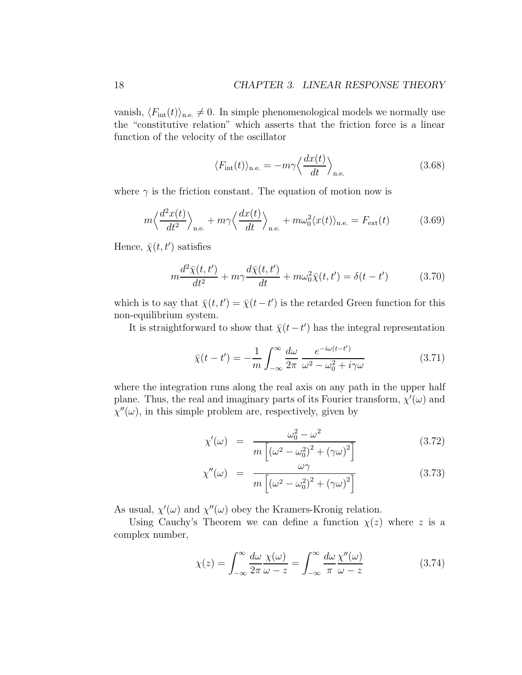vanish,  $\langle F_{\text{int}}(t)\rangle_{\text{n.e.}} \neq 0$ . In simple phenomenological models we normally use the "constitutive relation" which asserts that the friction force is a linear function of the velocity of the oscillator

$$
\langle F_{\rm int}(t) \rangle_{\rm n.e.} = -m\gamma \langle \frac{dx(t)}{dt} \rangle_{\rm n.e.} \tag{3.68}
$$

where  $\gamma$  is the friction constant. The equation of motion now is

$$
m\left\langle \frac{d^2x(t)}{dt^2} \right\rangle_{\text{n.e.}} + m\gamma \left\langle \frac{dx(t)}{dt} \right\rangle_{\text{n.e.}} + m\omega_0^2 \langle x(t) \rangle_{\text{n.e.}} = F_{\text{ext}}(t) \tag{3.69}
$$

Hence,  $\bar{\chi}(t,t')$  satisfies

$$
m\frac{d^2\bar{\chi}(t,t')}{dt^2} + m\gamma\frac{d\bar{\chi}(t,t')}{dt} + m\omega_0^2\bar{\chi}(t,t') = \delta(t-t')
$$
 (3.70)

which is to say that  $\bar{\chi}(t, t') = \bar{\chi}(t - t')$  is the retarded Green function for this non-equilibrium system.

It is straightforward to show that  $\bar{\chi}(t-t')$  has the integral representation

$$
\bar{\chi}(t-t') = -\frac{1}{m} \int_{-\infty}^{\infty} \frac{d\omega}{2\pi} \frac{e^{-i\omega(t-t')}}{\omega^2 - \omega_0^2 + i\gamma\omega}
$$
(3.71)

where the integration runs along the real axis on any path in the upper half plane. Thus, the real and imaginary parts of its Fourier transform,  $\chi'(\omega)$  and  $\chi''(\omega)$ , in this simple problem are, respectively, given by

$$
\chi'(\omega) = \frac{\omega_0^2 - \omega^2}{m\left[ (\omega^2 - \omega_0^2)^2 + (\gamma\omega)^2 \right]}
$$
\n(3.72)

$$
\chi''(\omega) = \frac{\omega \gamma}{m \left[ \left( \omega^2 - \omega_0^2 \right)^2 + \left( \gamma \omega \right)^2 \right]}
$$
(3.73)

As usual,  $\chi'(\omega)$  and  $\chi''(\omega)$  obey the Kramers-Kronig relation.

Using Cauchy's Theorem we can define a function  $\chi(z)$  where z is a complex number,

$$
\chi(z) = \int_{-\infty}^{\infty} \frac{d\omega}{2\pi} \frac{\chi(\omega)}{\omega - z} = \int_{-\infty}^{\infty} \frac{d\omega}{\pi} \frac{\chi''(\omega)}{\omega - z}
$$
(3.74)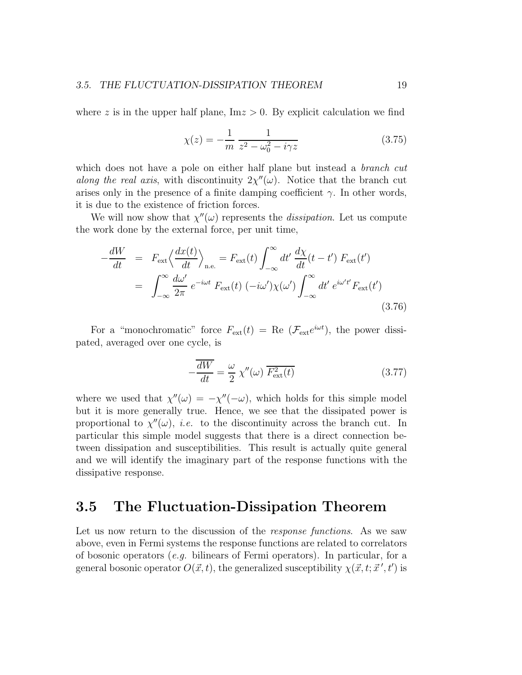where z is in the upper half plane,  $\text{Im} z > 0$ . By explicit calculation we find

$$
\chi(z) = -\frac{1}{m} \frac{1}{z^2 - \omega_0^2 - i\gamma z} \tag{3.75}
$$

which does not have a pole on either half plane but instead a *branch cut* along the real axis, with discontinuity  $2\chi''(\omega)$ . Notice that the branch cut arises only in the presence of a finite damping coefficient  $\gamma$ . In other words, it is due to the existence of friction forces.

We will now show that  $\chi''(\omega)$  represents the *dissipation*. Let us compute the work done by the external force, per unit time,

$$
-\frac{dW}{dt} = F_{\text{ext}} \left\langle \frac{dx(t)}{dt} \right\rangle_{\text{n.e.}} = F_{\text{ext}}(t) \int_{-\infty}^{\infty} dt' \frac{d\chi}{dt}(t - t') F_{\text{ext}}(t')
$$

$$
= \int_{-\infty}^{\infty} \frac{d\omega'}{2\pi} e^{-i\omega t} F_{\text{ext}}(t) \left(-i\omega'\right) \chi(\omega') \int_{-\infty}^{\infty} dt' e^{i\omega' t'} F_{\text{ext}}(t')
$$
(3.76)

For a "monochromatic" force  $F_{ext}(t) = \text{Re}(\mathcal{F}_{ext}e^{i\omega t})$ , the power dissipated, averaged over one cycle, is

$$
-\frac{\overline{dW}}{dt} = \frac{\omega}{2} \chi''(\omega) \overline{F_{\text{ext}}^2(t)} \tag{3.77}
$$

where we used that  $\chi''(\omega) = -\chi''(-\omega)$ , which holds for this simple model but it is more generally true. Hence, we see that the dissipated power is proportional to  $\chi''(\omega)$ , *i.e.* to the discontinuity across the branch cut. In particular this simple model suggests that there is a direct connection between dissipation and susceptibilities. This result is actually quite general and we will identify the imaginary part of the response functions with the dissipative response.

### 3.5 The Fluctuation-Dissipation Theorem

Let us now return to the discussion of the *response functions*. As we saw above, even in Fermi systems the response functions are related to correlators of bosonic operators  $(e.g. 1)$  bilinears of Fermi operators). In particular, for a general bosonic operator  $O(\vec{x}, t)$ , the generalized susceptibility  $\chi(\vec{x}, t; \vec{x}', t')$  is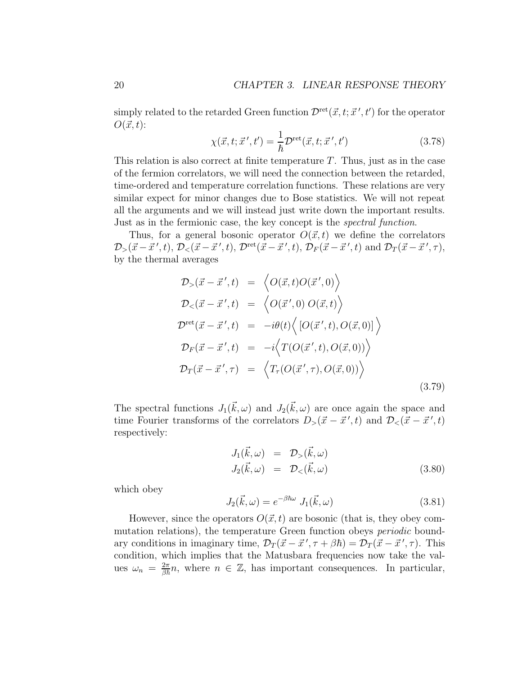simply related to the retarded Green function  $\mathcal{D}^{\text{ret}}(\vec{x}, t; \vec{x}', t')$  for the operator  $O(\vec{x}, t)$ :

$$
\chi(\vec{x}, t; \vec{x}', t') = \frac{1}{\hbar} \mathcal{D}^{\text{ret}}(\vec{x}, t; \vec{x}', t')
$$
\n(3.78)

This relation is also correct at finite temperature  $T$ . Thus, just as in the case of the fermion correlators, we will need the connection between the retarded, time-ordered and temperature correlation functions. These relations are very similar expect for minor changes due to Bose statistics. We will not repeat all the arguments and we will instead just write down the important results. Just as in the fermionic case, the key concept is the *spectral function*.

Thus, for a general bosonic operator  $O(\vec{x}, t)$  we define the correlators  $\mathcal{D}_{>}(\vec{x}-\vec{x}',t), \mathcal{D}_{<}(\vec{x}-\vec{x}',t), \mathcal{D}^{\text{ret}}(\vec{x}-\vec{x}',t), \mathcal{D}_{F}(\vec{x}-\vec{x}',t) \text{ and } \mathcal{D}_{T}(\vec{x}-\vec{x}',\tau),$ by the thermal averages

$$
\mathcal{D}_{>}(\vec{x} - \vec{x}',t) = \left\langle O(\vec{x},t)O(\vec{x}',0) \right\rangle
$$
\n
$$
\mathcal{D}_{<}(\vec{x} - \vec{x}',t) = \left\langle O(\vec{x}',0) O(\vec{x},t) \right\rangle
$$
\n
$$
\mathcal{D}^{\text{ret}}(\vec{x} - \vec{x}',t) = -i\theta(t) \left\langle \left[ O(\vec{x}',t), O(\vec{x},0) \right] \right\rangle
$$
\n
$$
\mathcal{D}_{F}(\vec{x} - \vec{x}',t) = -i \left\langle T(O(\vec{x}',t), O(\vec{x},0)) \right\rangle
$$
\n
$$
\mathcal{D}_{T}(\vec{x} - \vec{x}',\tau) = \left\langle T_{\tau}(O(\vec{x}',\tau), O(\vec{x},0)) \right\rangle
$$
\n(3.79)

The spectral functions  $J_1(\vec{k}, \omega)$  and  $J_2(\vec{k}, \omega)$  are once again the space and time Fourier transforms of the correlators  $D_{>}(\vec{x} - \vec{x}', t)$  and  $\mathcal{D}_{<}(\vec{x} - \vec{x}', t)$ respectively:

$$
J_1(\vec{k}, \omega) = \mathcal{D}_>(\vec{k}, \omega)
$$
  
\n
$$
J_2(\vec{k}, \omega) = \mathcal{D}_(<\vec{k}, \omega)
$$
 (3.80)

which obey

$$
J_2(\vec{k}, \omega) = e^{-\beta \hbar \omega} J_1(\vec{k}, \omega)
$$
\n(3.81)

However, since the operators  $O(\vec{x}, t)$  are bosonic (that is, they obey commutation relations), the temperature Green function obeys periodic boundary conditions in imaginary time,  $\mathcal{D}_T(\vec{x} - \vec{x}', \tau + \beta \hbar) = \mathcal{D}_T(\vec{x} - \vec{x}', \tau)$ . This condition, which implies that the Matusbara frequencies now take the values  $\omega_n = \frac{2\pi}{\beta \hbar} n$ , where  $n \in \mathbb{Z}$ , has important consequences. In particular,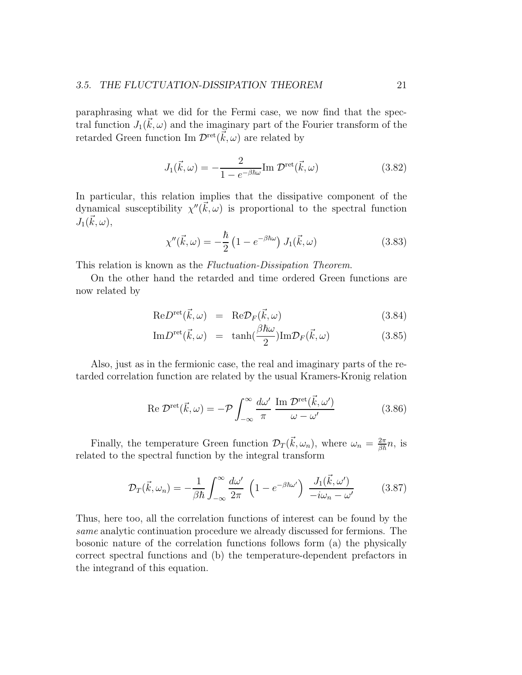paraphrasing what we did for the Fermi case, we now find that the spectral function  $J_1(\vec{k}, \omega)$  and the imaginary part of the Fourier transform of the retarded Green function Im  $\mathcal{D}^{\text{ret}}(\vec{k}, \omega)$  are related by

$$
J_1(\vec{k}, \omega) = -\frac{2}{1 - e^{-\beta \hbar \omega}} \text{Im } \mathcal{D}^{\text{ret}}(\vec{k}, \omega)
$$
 (3.82)

In particular, this relation implies that the dissipative component of the dynamical susceptibility  $\chi''(\vec{k}, \omega)$  is proportional to the spectral function  $J_1(\vec{k}, \omega),$ 

$$
\chi''(\vec{k},\omega) = -\frac{\hbar}{2} \left( 1 - e^{-\beta \hbar \omega} \right) J_1(\vec{k},\omega) \tag{3.83}
$$

This relation is known as the *Fluctuation-Dissipation Theorem*.

On the other hand the retarded and time ordered Green functions are now related by

$$
ReDret(\vec{k}, \omega) = Re\mathcal{D}_F(\vec{k}, \omega)
$$
 (3.84)

$$
\mathrm{Im}D^{\mathrm{ret}}(\vec{k},\omega) = \tanh(\frac{\beta\hbar\omega}{2})\mathrm{Im}\mathcal{D}_F(\vec{k},\omega) \tag{3.85}
$$

Also, just as in the fermionic case, the real and imaginary parts of the retarded correlation function are related by the usual Kramers-Kronig relation

Re 
$$
\mathcal{D}^{\text{ret}}(\vec{k}, \omega) = -\mathcal{P} \int_{-\infty}^{\infty} \frac{d\omega'}{\pi} \frac{\text{Im } \mathcal{D}^{\text{ret}}(\vec{k}, \omega')}{\omega - \omega'}
$$
 (3.86)

Finally, the temperature Green function  $\mathcal{D}_T(\vec{k},\omega_n)$ , where  $\omega_n = \frac{2\pi}{\beta \hbar} n$ , is related to the spectral function by the integral transform

$$
\mathcal{D}_T(\vec{k}, \omega_n) = -\frac{1}{\beta \hbar} \int_{-\infty}^{\infty} \frac{d\omega'}{2\pi} \left(1 - e^{-\beta \hbar \omega'}\right) \frac{J_1(\vec{k}, \omega')}{-i\omega_n - \omega'} \tag{3.87}
$$

Thus, here too, all the correlation functions of interest can be found by the same analytic continuation procedure we already discussed for fermions. The bosonic nature of the correlation functions follows form (a) the physically correct spectral functions and (b) the temperature-dependent prefactors in the integrand of this equation.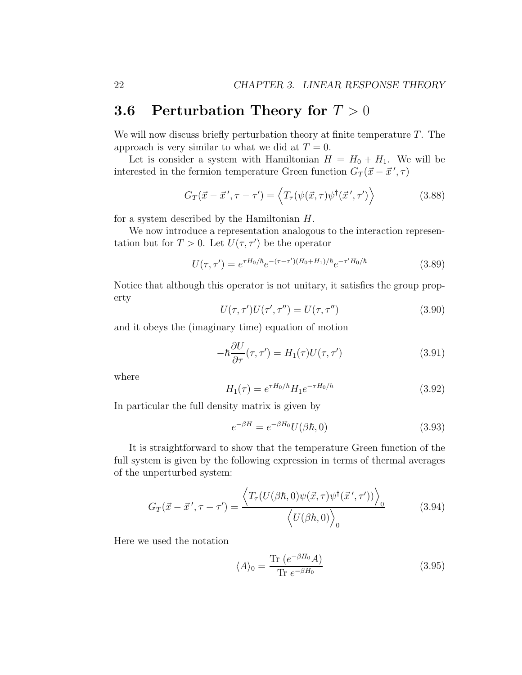## **3.6 Perturbation Theory for**  $T > 0$

We will now discuss briefly perturbation theory at finite temperature  $T$ . The approach is very similar to what we did at  $T = 0$ .

Let is consider a system with Hamiltonian  $H = H_0 + H_1$ . We will be interested in the fermion temperature Green function  $G_T(\vec{x} - \vec{x}', \tau)$ 

$$
G_T(\vec{x} - \vec{x}', \tau - \tau') = \left\langle T_\tau(\psi(\vec{x}, \tau))\psi^\dagger(\vec{x}', \tau') \right\rangle \tag{3.88}
$$

for a system described by the Hamiltonian H.

We now introduce a representation analogous to the interaction representation but for  $T > 0$ . Let  $U(\tau, \tau')$  be the operator

$$
U(\tau, \tau') = e^{\tau H_0/\hbar} e^{-(\tau - \tau')(H_0 + H_1)/\hbar} e^{-\tau' H_0/\hbar}
$$
\n(3.89)

Notice that although this operator is not unitary, it satisfies the group property

$$
U(\tau, \tau')U(\tau', \tau'') = U(\tau, \tau'')
$$
\n(3.90)

and it obeys the (imaginary time) equation of motion

$$
-\hbar \frac{\partial U}{\partial \tau}(\tau, \tau') = H_1(\tau)U(\tau, \tau')
$$
\n(3.91)

where

$$
H_1(\tau) = e^{\tau H_0/\hbar} H_1 e^{-\tau H_0/\hbar}
$$
\n(3.92)

In particular the full density matrix is given by

$$
e^{-\beta H} = e^{-\beta H_0} U(\beta \hbar, 0) \tag{3.93}
$$

It is straightforward to show that the temperature Green function of the full system is given by the following expression in terms of thermal averages of the unperturbed system:

$$
G_T(\vec{x} - \vec{x}', \tau - \tau') = \frac{\langle T_\tau(U(\beta \hbar, 0) \psi(\vec{x}, \tau) \psi^\dagger(\vec{x}', \tau')) \rangle_0}{\langle U(\beta \hbar, 0) \rangle_0}
$$
(3.94)

Here we used the notation

$$
\langle A \rangle_0 = \frac{\text{Tr}\left(e^{-\beta H_0} A\right)}{\text{Tr}\,e^{-\beta H_0}}\tag{3.95}
$$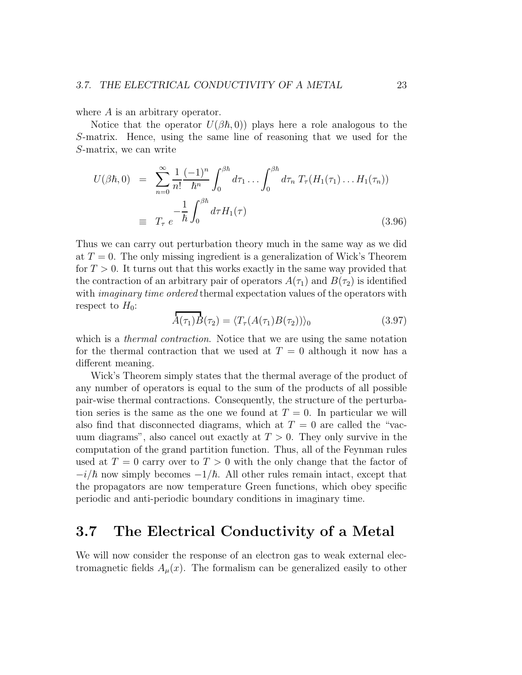where A is an arbitrary operator.

Notice that the operator  $U(\beta\hbar, 0)$  plays here a role analogous to the S-matrix. Hence, using the same line of reasoning that we used for the S-matrix, we can write

$$
U(\beta \hbar, 0) = \sum_{n=0}^{\infty} \frac{1}{n!} \frac{(-1)^n}{\hbar^n} \int_0^{\beta \hbar} d\tau_1 \dots \int_0^{\beta \hbar} d\tau_n T_\tau (H_1(\tau_1) \dots H_1(\tau_n))
$$
  

$$
\equiv T_\tau e^{-\frac{1}{\hbar} \int_0^{\beta \hbar} d\tau H_1(\tau)}
$$
(3.96)

Thus we can carry out perturbation theory much in the same way as we did at  $T = 0$ . The only missing ingredient is a generalization of Wick's Theorem for  $T > 0$ . It turns out that this works exactly in the same way provided that the contraction of an arbitrary pair of operators  $A(\tau_1)$  and  $B(\tau_2)$  is identified with *imaginary time ordered* thermal expectation values of the operators with respect to  $H_0$ :

$$
\overrightarrow{A}(\tau_1)\overrightarrow{B}(\tau_2) = \langle T_\tau(A(\tau_1)\overrightarrow{B}(\tau_2)) \rangle_0 \tag{3.97}
$$

which is a *thermal contraction*. Notice that we are using the same notation for the thermal contraction that we used at  $T = 0$  although it now has a different meaning.

Wick's Theorem simply states that the thermal average of the product of any number of operators is equal to the sum of the products of all possible pair-wise thermal contractions. Consequently, the structure of the perturbation series is the same as the one we found at  $T = 0$ . In particular we will also find that disconnected diagrams, which at  $T = 0$  are called the "vacuum diagrams", also cancel out exactly at  $T > 0$ . They only survive in the computation of the grand partition function. Thus, all of the Feynman rules used at  $T = 0$  carry over to  $T > 0$  with the only change that the factor of  $-i/\hbar$  now simply becomes  $-1/\hbar$ . All other rules remain intact, except that the propagators are now temperature Green functions, which obey specific periodic and anti-periodic boundary conditions in imaginary time.

## 3.7 The Electrical Conductivity of a Metal

We will now consider the response of an electron gas to weak external electromagnetic fields  $A<sub>u</sub>(x)$ . The formalism can be generalized easily to other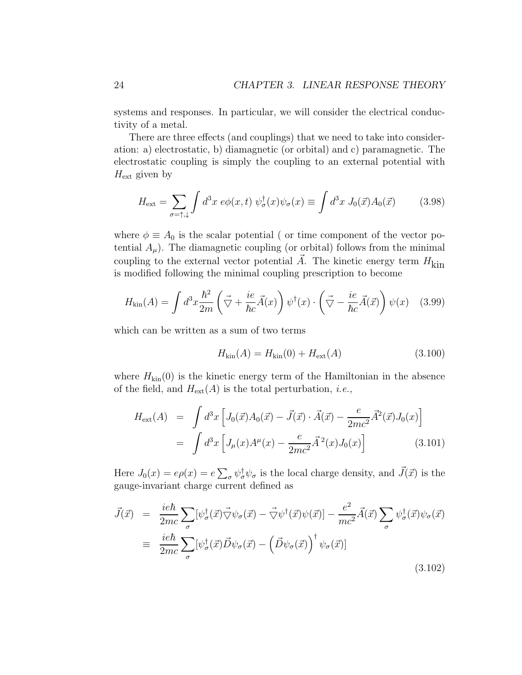systems and responses. In particular, we will consider the electrical conductivity of a metal.

There are three effects (and couplings) that we need to take into consideration: a) electrostatic, b) diamagnetic (or orbital) and c) paramagnetic. The electrostatic coupling is simply the coupling to an external potential with  $H_{\text{ext}}$  given by

$$
H_{\text{ext}} = \sum_{\sigma = \uparrow, \downarrow} \int d^3x \, e\phi(x, t) \, \psi_{\sigma}^{\dagger}(x) \psi_{\sigma}(x) \equiv \int d^3x \, J_0(\vec{x}) A_0(\vec{x}) \tag{3.98}
$$

where  $\phi \equiv A_0$  is the scalar potential ( or time component of the vector potential  $A_{\mu}$ ). The diamagnetic coupling (or orbital) follows from the minimal coupling to the external vector potential  $\vec{A}$ . The kinetic energy term  $H_{\text{kin}}$ is modified following the minimal coupling prescription to become

$$
H_{\text{kin}}(A) = \int d^3x \frac{\hbar^2}{2m} \left( \vec{\nabla} + \frac{ie}{\hbar c} \vec{A}(x) \right) \psi^{\dagger}(x) \cdot \left( \vec{\nabla} - \frac{ie}{\hbar c} \vec{A}(\vec{x}) \right) \psi(x) \quad (3.99)
$$

which can be written as a sum of two terms

$$
H_{\rm kin}(A) = H_{\rm kin}(0) + H_{\rm ext}(A)
$$
\n(3.100)

where  $H_{kin}(0)$  is the kinetic energy term of the Hamiltonian in the absence of the field, and  $H_{ext}(A)$  is the total perturbation, *i.e.*,

$$
H_{\text{ext}}(A) = \int d^3x \left[ J_0(\vec{x}) A_0(\vec{x}) - \vec{J}(\vec{x}) \cdot \vec{A}(\vec{x}) - \frac{e}{2mc^2} \vec{A}^2(\vec{x}) J_0(x) \right]
$$
  
= 
$$
\int d^3x \left[ J_\mu(x) A^\mu(x) - \frac{e}{2mc^2} \vec{A}^2(x) J_0(x) \right]
$$
(3.101)

Here  $J_0(x) = e\rho(x) = e \sum_{\sigma} \psi_{\sigma}^{\dagger} \psi_{\sigma}$  is the local charge density, and  $\vec{J}(\vec{x})$  is the gauge-invariant charge current defined as

$$
\vec{J}(\vec{x}) = \frac{ie\hbar}{2mc} \sum_{\sigma} [\psi_{\sigma}^{\dagger}(\vec{x}) \vec{\nabla} \psi_{\sigma}(\vec{x}) - \vec{\nabla} \psi^{\dagger}(\vec{x}) \psi(\vec{x})] - \frac{e^2}{mc^2} \vec{A}(\vec{x}) \sum_{\sigma} \psi_{\sigma}^{\dagger}(\vec{x}) \psi_{\sigma}(\vec{x})
$$
\n
$$
\equiv \frac{ie\hbar}{2mc} \sum_{\sigma} [\psi_{\sigma}^{\dagger}(\vec{x}) \vec{D} \psi_{\sigma}(\vec{x}) - (\vec{D} \psi_{\sigma}(\vec{x}))^{\dagger} \psi_{\sigma}(\vec{x})]
$$
\n(3.102)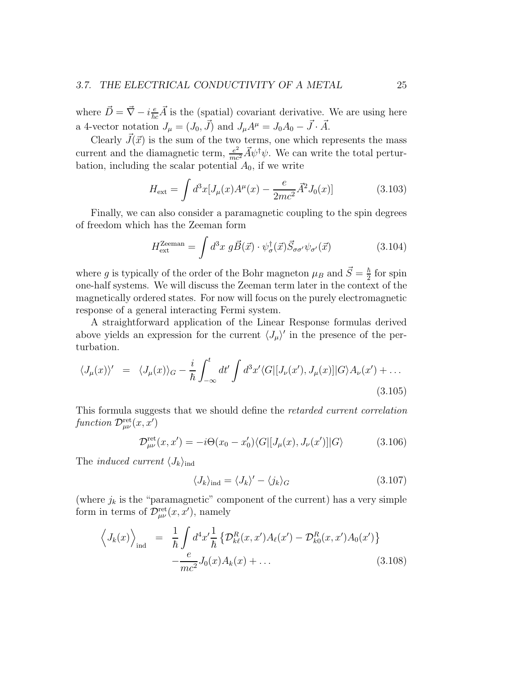where  $\vec{D} = \vec{\nabla} - i\frac{e}{\hbar c}\vec{A}$  is the (spatial) covariant derivative. We are using here a 4-vector notation  $J_{\mu} = (J_0, \vec{J})$  and  $J_{\mu}A^{\mu} = J_0A_0 - \vec{J} \cdot \vec{A}$ .

Clearly  $\vec{J}(\vec{x})$  is the sum of the two terms, one which represents the mass current and the diamagnetic term,  $\frac{e^2}{mc^2}\vec{A}\psi^{\dagger}\psi$ . We can write the total perturbation, including the scalar potential  $A_0$ , if we write

$$
H_{\text{ext}} = \int d^3x [J_{\mu}(x)A^{\mu}(x) - \frac{e}{2mc^2} \vec{A}^2 J_0(x)] \tag{3.103}
$$

Finally, we can also consider a paramagnetic coupling to the spin degrees of freedom which has the Zeeman form

$$
H_{\text{ext}}^{\text{Zeeman}} = \int d^3x \ g \vec{B}(\vec{x}) \cdot \psi_{\sigma}^{\dagger}(\vec{x}) \vec{S}_{\sigma\sigma'} \psi_{\sigma'}(\vec{x}) \tag{3.104}
$$

where g is typically of the order of the Bohr magneton  $\mu_B$  and  $\vec{S} = \frac{\hbar}{2}$  $\frac{h}{2}$  for spin one-half systems. We will discuss the Zeeman term later in the context of the magnetically ordered states. For now will focus on the purely electromagnetic response of a general interacting Fermi system.

A straightforward application of the Linear Response formulas derived above yields an expression for the current  $\langle J_\mu \rangle'$  in the presence of the perturbation.

$$
\langle J_{\mu}(x) \rangle' = \langle J_{\mu}(x) \rangle_G - \frac{i}{\hbar} \int_{-\infty}^t dt' \int d^3x' \langle G | [J_{\nu}(x'), J_{\mu}(x)] | G \rangle A_{\nu}(x') + \dots
$$
\n(3.105)

This formula suggests that we should define the retarded current correlation function  $\mathcal{D}^{\text{ret}}_{\mu\nu}(x,x')$ 

$$
\mathcal{D}^{\text{ret}}_{\mu\nu}(x, x') = -i\Theta(x_0 - x'_0) \langle G| [J_\mu(x), J_\nu(x')] | G \rangle \tag{3.106}
$$

The *induced current*  $\langle J_k \rangle_{\text{ind}}$ 

$$
\langle J_k \rangle_{\text{ind}} = \langle J_k \rangle' - \langle j_k \rangle_G \tag{3.107}
$$

(where  $j_k$  is the "paramagnetic" component of the current) has a very simple form in terms of  $\mathcal{D}_{\mu\nu}^{\text{ret}}(x, x')$ , namely

$$
\left\langle J_k(x) \right\rangle_{\text{ind}} = \frac{1}{\hbar} \int d^4 x' \frac{1}{\hbar} \left\{ \mathcal{D}_{k\ell}^R(x, x') A_\ell(x') - \mathcal{D}_{k0}^R(x, x') A_0(x') \right\} - \frac{e}{mc^2} J_0(x) A_k(x) + \dots
$$
 (3.108)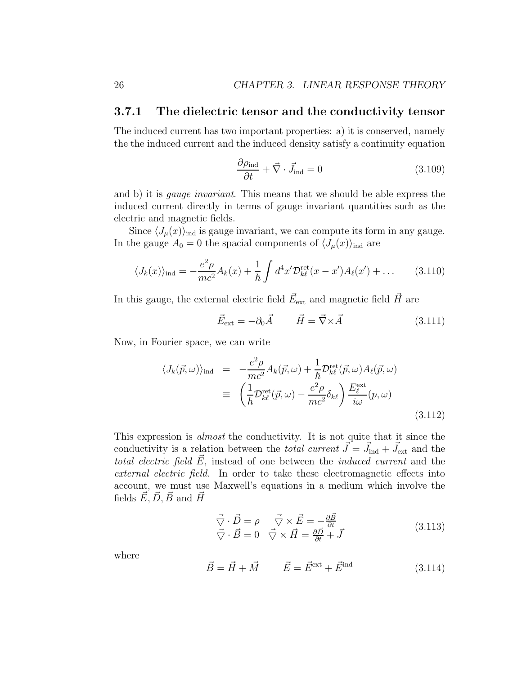#### 3.7.1 The dielectric tensor and the conductivity tensor

The induced current has two important properties: a) it is conserved, namely the the induced current and the induced density satisfy a continuity equation

$$
\frac{\partial \rho_{\text{ind}}}{\partial t} + \vec{\nabla} \cdot \vec{J}_{\text{ind}} = 0 \tag{3.109}
$$

and b) it is gauge invariant. This means that we should be able express the induced current directly in terms of gauge invariant quantities such as the electric and magnetic fields.

Since  $\langle J_\mu(x)\rangle_{\text{ind}}$  is gauge invariant, we can compute its form in any gauge. In the gauge  $A_0 = 0$  the spacial components of  $\langle J_\mu(x) \rangle_{\text{ind}}$  are

$$
\langle J_k(x) \rangle_{\text{ind}} = -\frac{e^2 \rho}{mc^2} A_k(x) + \frac{1}{\hbar} \int d^4 x' \mathcal{D}_{k\ell}^{\text{ret}}(x - x') A_\ell(x') + \dots \qquad (3.110)
$$

In this gauge, the external electric field  $\vec{E}_{\text{ext}}$  and magnetic field  $\vec{H}$  are

$$
\vec{E}_{\text{ext}} = -\partial_0 \vec{A} \qquad \vec{H} = \vec{\nabla} \times \vec{A} \tag{3.111}
$$

Now, in Fourier space, we can write

$$
\langle J_k(\vec{p}, \omega) \rangle_{\text{ind}} = -\frac{e^2 \rho}{mc^2} A_k(\vec{p}, \omega) + \frac{1}{\hbar} \mathcal{D}_{k\ell}^{\text{ret}}(\vec{p}, \omega) A_\ell(\vec{p}, \omega)
$$
  

$$
\equiv \left( \frac{1}{\hbar} \mathcal{D}_{k\ell}^{\text{ret}}(\vec{p}, \omega) - \frac{e^2 \rho}{mc^2} \delta_{k\ell} \right) \frac{E_{\ell}^{\text{ext}}}{i\omega} (p, \omega)
$$
(3.112)

This expression is almost the conductivity. It is not quite that it since the conductivity is a relation between the *total current*  $\vec{J} = \vec{J}_{ind} + \vec{J}_{ext}$  and the total electric field  $\vec{E}$ , instead of one between the *induced current* and the external electric field. In order to take these electromagnetic effects into account, we must use Maxwell's equations in a medium which involve the fields  $E, D, B$  and  $H$ 

$$
\vec{\nabla} \cdot \vec{D} = \rho \quad \vec{\nabla} \times \vec{E} = -\frac{\partial \vec{B}}{\partial t} \n\vec{\nabla} \cdot \vec{B} = 0 \quad \vec{\nabla} \times \vec{H} = \frac{\partial \vec{D}}{\partial t} + \vec{J}
$$
\n(3.113)

where

$$
\vec{B} = \vec{H} + \vec{M} \qquad \vec{E} = \vec{E}^{\text{ext}} + \vec{E}^{\text{ind}} \tag{3.114}
$$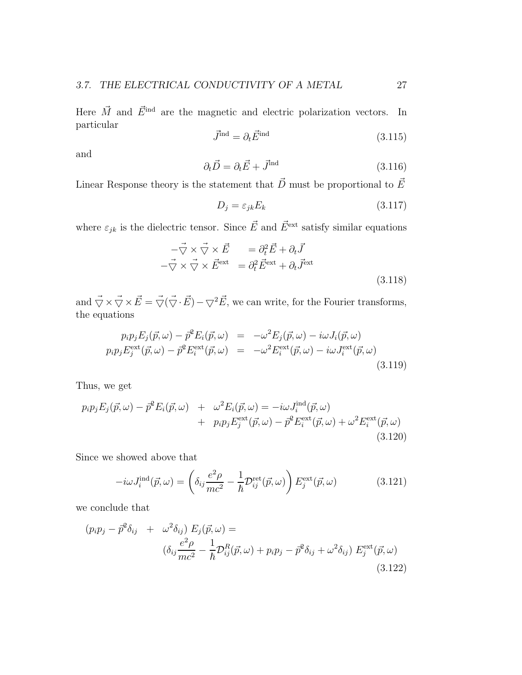Here  $\vec{M}$  and  $\vec{E}^{\text{ind}}$  are the magnetic and electric polarization vectors. In particular

$$
\vec{J}^{\text{ind}} = \partial_t \vec{E}^{\text{ind}} \tag{3.115}
$$

and

$$
\partial_t \vec{D} = \partial_t \vec{E} + \vec{J}^{\text{ind}} \tag{3.116}
$$

Linear Response theory is the statement that  $\vec{D}$  must be proportional to  $\vec{E}$ 

$$
D_j = \varepsilon_{jk} E_k \tag{3.117}
$$

where  $\varepsilon_{jk}$  is the dielectric tensor. Since  $\vec{E}$  and  $\vec{E}^{\text{ext}}$  satisfy similar equations

$$
-\vec{\nabla} \times \vec{\nabla} \times \vec{E} = \partial_t^2 \vec{E} + \partial_t \vec{J}
$$
  

$$
-\vec{\nabla} \times \vec{\nabla} \times \vec{E}^{\text{ext}} = \partial_t^2 \vec{E}^{\text{ext}} + \partial_t \vec{J}^{\text{ext}}
$$
(3.118)

and  $\vec{\nabla} \times \vec{\nabla} \times \vec{E} = \vec{\nabla} (\vec{\nabla} \cdot \vec{E}) - \vec{\nabla}^2 \vec{E}$ , we can write, for the Fourier transforms, the equations

$$
p_i p_j E_j(\vec{p}, \omega) - \vec{p}^2 E_i(\vec{p}, \omega) = -\omega^2 E_j(\vec{p}, \omega) - i\omega J_i(\vec{p}, \omega)
$$
  
\n
$$
p_i p_j E_j^{\text{ext}}(\vec{p}, \omega) - \vec{p}^2 E_i^{\text{ext}}(\vec{p}, \omega) = -\omega^2 E_i^{\text{ext}}(\vec{p}, \omega) - i\omega J_i^{\text{ext}}(\vec{p}, \omega)
$$
\n(3.119)

Thus, we get

$$
p_i p_j E_j(\vec{p}, \omega) - \vec{p}^2 E_i(\vec{p}, \omega) + \omega^2 E_i(\vec{p}, \omega) = -i\omega J_i^{\text{ind}}(\vec{p}, \omega) + p_i p_j E_j^{\text{ext}}(\vec{p}, \omega) - \vec{p}^2 E_i^{\text{ext}}(\vec{p}, \omega) + \omega^2 E_i^{\text{ext}}(\vec{p}, \omega)
$$
\n(3.120)

Since we showed above that

$$
-i\omega J_i^{\text{ind}}(\vec{p}, \omega) = \left(\delta_{ij}\frac{e^2\rho}{mc^2} - \frac{1}{\hbar} \mathcal{D}_{ij}^{\text{ret}}(\vec{p}, \omega)\right) E_j^{\text{ext}}(\vec{p}, \omega)
$$
(3.121)

we conclude that

$$
(p_i p_j - \vec{p}^2 \delta_{ij} + \omega^2 \delta_{ij}) E_j(\vec{p}, \omega) =
$$
  

$$
(\delta_{ij} \frac{e^2 \rho}{mc^2} - \frac{1}{\hbar} \mathcal{D}_{ij}^R(\vec{p}, \omega) + p_i p_j - \vec{p}^2 \delta_{ij} + \omega^2 \delta_{ij}) E_j^{\text{ext}}(\vec{p}, \omega)
$$
  
(3.122)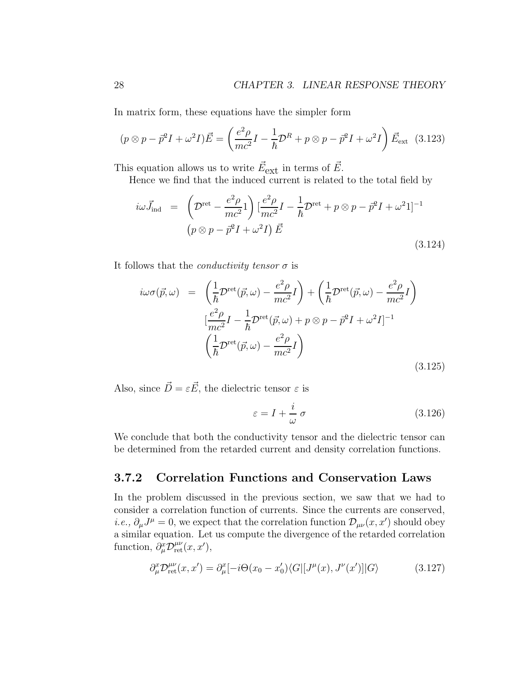In matrix form, these equations have the simpler form

$$
(p \otimes p - \vec{p}^2 I + \omega^2 I)\vec{E} = \left(\frac{e^2 \rho}{mc^2}I - \frac{1}{\hbar}\mathcal{D}^R + p \otimes p - \vec{p}^2 I + \omega^2 I\right)\vec{E}_{\text{ext}} \quad (3.123)
$$

This equation allows us to write  $\vec{E}_{ext}$  in terms of  $\vec{E}$ .

Hence we find that the induced current is related to the total field by

$$
i\omega \vec{J}_{\text{ind}} = \left( \mathcal{D}^{\text{ret}} - \frac{e^2 \rho}{mc^2} \mathbf{1} \right) \left[ \frac{e^2 \rho}{mc^2} I - \frac{1}{\hbar} \mathcal{D}^{\text{ret}} + p \otimes p - \vec{p}^2 I + \omega^2 \mathbf{1} \right]^{-1}
$$
  

$$
\left( p \otimes p - \vec{p}^2 I + \omega^2 I \right) \vec{E}
$$
 (3.124)

It follows that the *conductivity tensor*  $\sigma$  is

$$
i\omega\sigma(\vec{p},\omega) = \left(\frac{1}{\hbar}\mathcal{D}^{\text{ret}}(\vec{p},\omega) - \frac{e^2\rho}{mc^2}I\right) + \left(\frac{1}{\hbar}\mathcal{D}^{\text{ret}}(\vec{p},\omega) - \frac{e^2\rho}{mc^2}I\right)
$$

$$
\left[\frac{e^2\rho}{mc^2}I - \frac{1}{\hbar}\mathcal{D}^{\text{ret}}(\vec{p},\omega) + p\otimes p - \vec{p}^2I + \omega^2I\right]^{-1}
$$

$$
\left(\frac{1}{\hbar}\mathcal{D}^{\text{ret}}(\vec{p},\omega) - \frac{e^2\rho}{mc^2}I\right)
$$
(3.125)

Also, since  $\vec{D} = \varepsilon \vec{E}$ , the dielectric tensor  $\varepsilon$  is

$$
\varepsilon = I + \frac{i}{\omega} \sigma \tag{3.126}
$$

We conclude that both the conductivity tensor and the dielectric tensor can be determined from the retarded current and density correlation functions.

#### 3.7.2 Correlation Functions and Conservation Laws

In the problem discussed in the previous section, we saw that we had to consider a correlation function of currents. Since the currents are conserved, *i.e.*,  $\partial_{\mu}J^{\mu} = 0$ , we expect that the correlation function  $\mathcal{D}_{\mu\nu}(x, x')$  should obey a similar equation. Let us compute the divergence of the retarded correlation function,  $\partial_{\mu}^{x} \mathcal{D}_{\text{ret}}^{\mu\nu}(x, x'),$ 

$$
\partial_{\mu}^{x} \mathcal{D}_{\text{ret}}^{\mu\nu}(x, x') = \partial_{\mu}^{x} [-i\Theta(x_{0} - x'_{0}) \langle G| [J^{\mu}(x), J^{\nu}(x')] | G \rangle \tag{3.127}
$$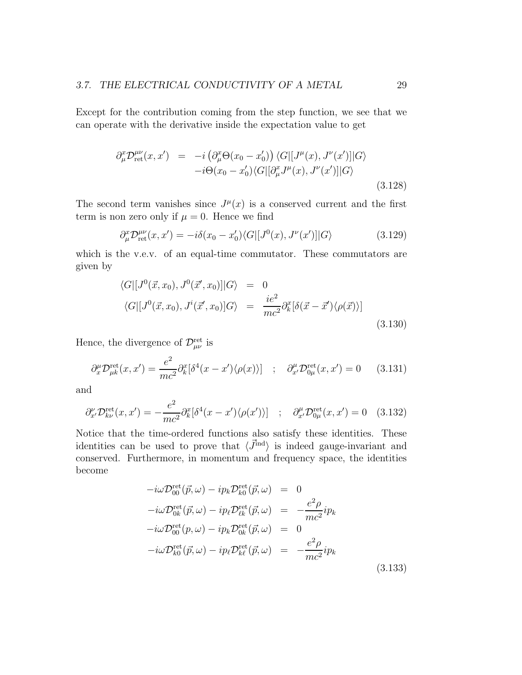Except for the contribution coming from the step function, we see that we can operate with the derivative inside the expectation value to get

$$
\partial_{\mu}^{x} \mathcal{D}_{\text{ret}}^{\mu\nu}(x, x') = -i \left( \partial_{\mu}^{x} \Theta(x_{0} - x'_{0}) \right) \langle G | [J^{\mu}(x), J^{\nu}(x')] | G \rangle \n- i \Theta(x_{0} - x'_{0}) \langle G | [\partial_{\mu}^{x} J^{\mu}(x), J^{\nu}(x')] | G \rangle
$$
\n(3.128)

The second term vanishes since  $J^{\mu}(x)$  is a conserved current and the first term is non zero only if  $\mu = 0$ . Hence we find

$$
\partial_{\mu}^{x} \mathcal{D}_{\text{ret}}^{\mu\nu}(x, x') = -i\delta(x_0 - x'_0) \langle G | [J^0(x), J^{\nu}(x')] | G \rangle \tag{3.129}
$$

which is the v.e.v. of an equal-time commutator. These commutators are given by

$$
\langle G|[J^0(\vec{x},x_0),J^0(\vec{x}',x_0)]|G\rangle = 0
$$
  

$$
\langle G|[J^0(\vec{x},x_0),J^i(\vec{x}',x_0)]G\rangle = \frac{ie^2}{mc^2}\partial_k^x[\delta(\vec{x}-\vec{x}')\langle\rho(\vec{x})\rangle]
$$
  
(3.130)

Hence, the divergence of  $\mathcal{D}_{\mu\nu}^{\text{ret}}$  is

$$
\partial_x^{\mu} \mathcal{D}_{\mu k}^{\text{ret}}(x, x') = \frac{e^2}{mc^2} \partial_k^x [\delta^4(x - x') \langle \rho(x) \rangle] \quad ; \quad \partial_{x'}^{\mu} \mathcal{D}_{0\mu}^{\text{ret}}(x, x') = 0 \tag{3.131}
$$

and

$$
\partial_{x'}^{\nu} \mathcal{D}_{k\nu}^{\text{ret}}(x, x') = -\frac{e^2}{mc^2} \partial_k^x [\delta^4(x - x') \langle \rho(x') \rangle] \quad ; \quad \partial_{x'}^{\mu} \mathcal{D}_{0\mu}^{\text{ret}}(x, x') = 0 \quad (3.132)
$$

Notice that the time-ordered functions also satisfy these identities. These identities can be used to prove that  $\langle \vec{J}^{\text{ind}} \rangle$  is indeed gauge-invariant and conserved. Furthermore, in momentum and frequency space, the identities become

$$
-i\omega \mathcal{D}_{00}^{\text{ret}}(\vec{p}, \omega) - ip_k \mathcal{D}_{k0}^{\text{ret}}(\vec{p}, \omega) = 0
$$
  
\n
$$
-i\omega \mathcal{D}_{0k}^{\text{ret}}(\vec{p}, \omega) - ip_\ell \mathcal{D}_{\ell k}^{\text{ret}}(\vec{p}, \omega) = -\frac{e^2 \rho}{mc^2} ip_k
$$
  
\n
$$
-i\omega \mathcal{D}_{00}^{\text{ret}}(p, \omega) - ip_k \mathcal{D}_{0k}^{\text{ret}}(\vec{p}, \omega) = 0
$$
  
\n
$$
-i\omega \mathcal{D}_{k0}^{\text{ret}}(\vec{p}, \omega) - ip_\ell \mathcal{D}_{k\ell}^{\text{ret}}(\vec{p}, \omega) = -\frac{e^2 \rho}{mc^2} ip_k
$$
  
\n
$$
(3.133)
$$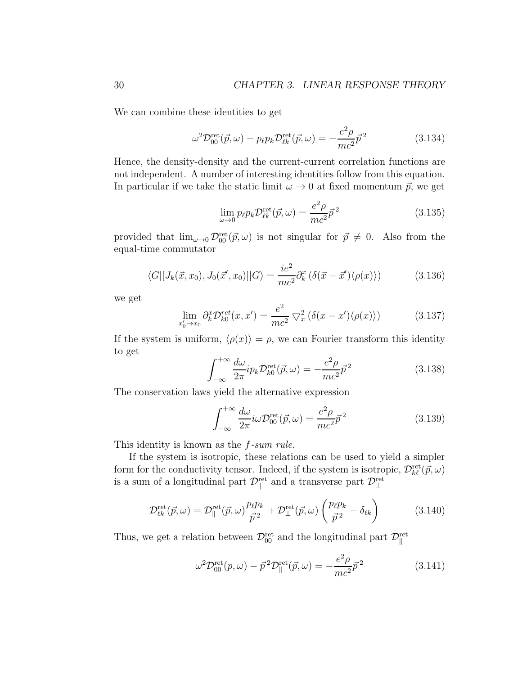We can combine these identities to get

$$
\omega^2 \mathcal{D}_{00}^{\text{ret}}(\vec{p}, \omega) - p_{\ell} p_k \mathcal{D}_{\ell k}^{\text{ret}}(\vec{p}, \omega) = -\frac{e^2 \rho}{mc^2} \vec{p}^2 \tag{3.134}
$$

Hence, the density-density and the current-current correlation functions are not independent. A number of interesting identities follow from this equation. In particular if we take the static limit  $\omega \to 0$  at fixed momentum  $\vec{p}$ , we get

$$
\lim_{\omega \to 0} p_{\ell} p_k \mathcal{D}_{\ell k}^{\text{ret}}(\vec{p}, \omega) = \frac{e^2 \rho}{mc^2} \vec{p}^2 \tag{3.135}
$$

provided that  $\lim_{\omega\to 0} \mathcal{D}_{00}^{\text{ret}}(\vec{p}, \omega)$  is not singular for  $\vec{p} \neq 0$ . Also from the equal-time commutator

$$
\langle G|[J_k(\vec{x}, x_0), J_0(\vec{x}', x_0)]|G\rangle = \frac{ie^2}{mc^2} \partial_k^x (\delta(\vec{x} - \vec{x}') \langle \rho(x) \rangle)
$$
(3.136)

we get

$$
\lim_{x_0' \to x_0} \partial_k^x \mathcal{D}_{k0}^{ret}(x, x') = \frac{e^2}{mc^2} \nabla_x^2 \left( \delta(x - x') \langle \rho(x) \rangle \right) \tag{3.137}
$$

If the system is uniform,  $\langle \rho(x) \rangle = \rho$ , we can Fourier transform this identity to get

$$
\int_{-\infty}^{+\infty} \frac{d\omega}{2\pi} i p_k \mathcal{D}_{k0}^{\text{ret}}(\vec{p}, \omega) = -\frac{e^2 \rho}{mc^2} \vec{p}^2 \tag{3.138}
$$

The conservation laws yield the alternative expression

$$
\int_{-\infty}^{+\infty} \frac{d\omega}{2\pi} i\omega \mathcal{D}_{00}^{\text{ret}}(\vec{p}, \omega) = \frac{e^2 \rho}{mc^2} \vec{p}^2
$$
 (3.139)

This identity is known as the  $f\text{-}sum rule$ .

If the system is isotropic, these relations can be used to yield a simpler form for the conductivity tensor. Indeed, if the system is isotropic,  $\mathcal{D}_{k\ell}^{\text{ret}}(\vec{p}, \omega)$ is a sum of a longitudinal part  $\mathcal{D}_{\parallel}^{\text{ret}}$  and a transverse part  $\mathcal{D}_{\perp}^{\text{ret}}$ 

$$
\mathcal{D}_{\ell k}^{\text{ret}}(\vec{p}, \omega) = \mathcal{D}_{\parallel}^{\text{ret}}(\vec{p}, \omega) \frac{p_{\ell} p_k}{\vec{p}^2} + \mathcal{D}_{\perp}^{\text{ret}}(\vec{p}, \omega) \left(\frac{p_{\ell} p_k}{\vec{p}^2} - \delta_{\ell k}\right)
$$
(3.140)

Thus, we get a relation between  $\mathcal{D}_{00}^{\text{ret}}$  and the longitudinal part  $\mathcal{D}_{\parallel}^{\text{ret}}$ 

$$
\omega^2 \mathcal{D}_{00}^{\text{ret}}(p,\omega) - \vec{p}^2 \mathcal{D}_{\parallel}^{\text{ret}}(\vec{p},\omega) = -\frac{e^2 \rho}{mc^2} \vec{p}^2 \tag{3.141}
$$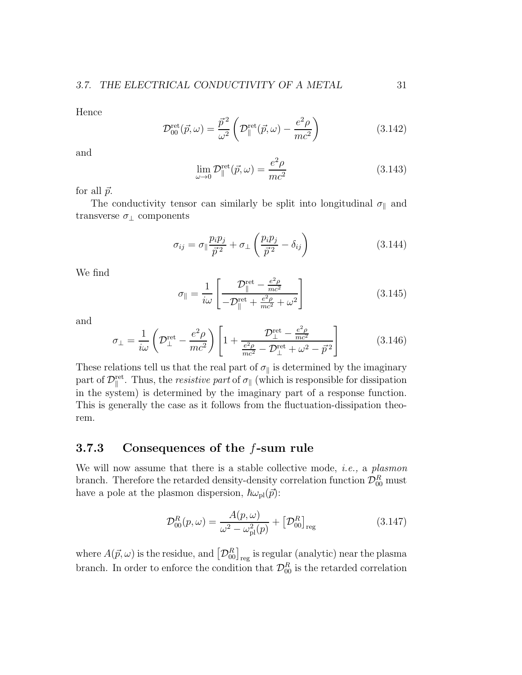Hence

$$
\mathcal{D}_{00}^{\text{ret}}(\vec{p}, \omega) = \frac{\vec{p}^2}{\omega^2} \left( \mathcal{D}_{\parallel}^{\text{ret}}(\vec{p}, \omega) - \frac{e^2 \rho}{mc^2} \right)
$$
(3.142)

and

$$
\lim_{\omega \to 0} \mathcal{D}_{\parallel}^{\text{ret}}(\vec{p}, \omega) = \frac{e^2 \rho}{mc^2}
$$
\n(3.143)

for all  $\vec{p}$ .

The conductivity tensor can similarly be split into longitudinal  $\sigma_{\parallel}$  and transverse  $\sigma_{\perp}$  components

$$
\sigma_{ij} = \sigma_{\parallel} \frac{p_i p_j}{\vec{p}^2} + \sigma_{\perp} \left( \frac{p_i p_j}{\vec{p}^2} - \delta_{ij} \right)
$$
 (3.144)

We find

$$
\sigma_{\parallel} = \frac{1}{i\omega} \left[ \frac{\mathcal{D}_{\parallel}^{\text{ret}} - \frac{e^2 \rho}{mc^2}}{-\mathcal{D}_{\parallel}^{\text{ret}} + \frac{e^2 \rho}{mc^2} + \omega^2} \right]
$$
(3.145)

and

$$
\sigma_{\perp} = \frac{1}{i\omega} \left( \mathcal{D}_{\perp}^{\text{ret}} - \frac{e^2 \rho}{mc^2} \right) \left[ 1 + \frac{\mathcal{D}_{\perp}^{\text{ret}} - \frac{e^2 \rho}{mc^2}}{\frac{e^2 \rho}{mc^2} - \mathcal{D}_{\perp}^{\text{ret}} + \omega^2 - \vec{p}^2} \right]
$$
(3.146)

These relations tell us that the real part of  $\sigma_{\parallel}$  is determined by the imaginary part of  $\mathcal{D}_{\parallel}^{\text{ret}}$ . Thus, the *resistive part* of  $\sigma_{\parallel}$  (which is responsible for dissipation in the system) is determined by the imaginary part of a response function. This is generally the case as it follows from the fluctuation-dissipation theorem.

### 3.7.3 Consequences of the f-sum rule

We will now assume that there is a stable collective mode, *i.e.*, a *plasmon* branch. Therefore the retarded density-density correlation function  $\mathcal{D}_{00}^R$  must have a pole at the plasmon dispersion,  $\hbar \omega_{\text{pl}}(\vec{p})$ :

$$
\mathcal{D}_{00}^{R}(p,\omega) = \frac{A(p,\omega)}{\omega^2 - \omega_{\rm pl}^2(p)} + \left[\mathcal{D}_{00}^{R}\right]_{\rm reg} \tag{3.147}
$$

where  $A(\vec{p}, \omega)$  is the residue, and  $\left[\mathcal{D}_{00}^{R}\right]_{\text{reg}}$  is regular (analytic) near the plasma branch. In order to enforce the condition that  $\mathcal{D}_{00}^R$  is the retarded correlation